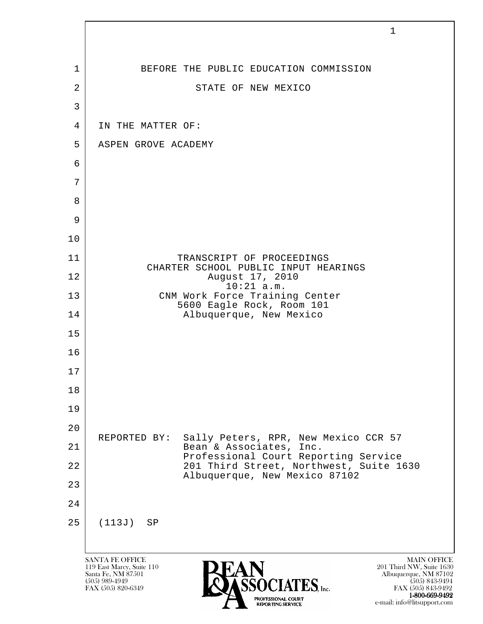|                | $\mathbf{1}$                                                                                                                                                                                                                                                                        |
|----------------|-------------------------------------------------------------------------------------------------------------------------------------------------------------------------------------------------------------------------------------------------------------------------------------|
|                |                                                                                                                                                                                                                                                                                     |
| 1              | BEFORE THE PUBLIC EDUCATION COMMISSION                                                                                                                                                                                                                                              |
| $\overline{2}$ | STATE OF NEW MEXICO                                                                                                                                                                                                                                                                 |
| 3              |                                                                                                                                                                                                                                                                                     |
| $\overline{4}$ | IN THE MATTER OF:                                                                                                                                                                                                                                                                   |
| 5              | ASPEN GROVE ACADEMY                                                                                                                                                                                                                                                                 |
| 6              |                                                                                                                                                                                                                                                                                     |
| 7              |                                                                                                                                                                                                                                                                                     |
| 8              |                                                                                                                                                                                                                                                                                     |
| 9<br>10        |                                                                                                                                                                                                                                                                                     |
| 11             | TRANSCRIPT OF PROCEEDINGS                                                                                                                                                                                                                                                           |
| 12             | CHARTER SCHOOL PUBLIC INPUT HEARINGS<br>August 17, 2010                                                                                                                                                                                                                             |
| 13             | $10:21$ a.m.<br>CNM Work Force Training Center                                                                                                                                                                                                                                      |
| 14             | 5600 Eagle Rock, Room 101<br>Albuquerque, New Mexico                                                                                                                                                                                                                                |
| 15             |                                                                                                                                                                                                                                                                                     |
| 16             |                                                                                                                                                                                                                                                                                     |
| 17             |                                                                                                                                                                                                                                                                                     |
| 18             |                                                                                                                                                                                                                                                                                     |
| 19             |                                                                                                                                                                                                                                                                                     |
| 20             | Sally Peters, RPR, New Mexico CCR 57<br>REPORTED BY:                                                                                                                                                                                                                                |
| 21             | Bean & Associates, Inc.<br>Professional Court Reporting Service                                                                                                                                                                                                                     |
| 22             | 201 Third Street, Northwest, Suite 1630<br>Albuquerque, New Mexico 87102                                                                                                                                                                                                            |
| 23             |                                                                                                                                                                                                                                                                                     |
| 24             |                                                                                                                                                                                                                                                                                     |
| 25             | (113J)<br>SP                                                                                                                                                                                                                                                                        |
|                |                                                                                                                                                                                                                                                                                     |
|                | <b>SANTA FE OFFICE</b><br><b>MAIN OFFICE</b><br>201 Third NW, Suite 1630<br>119 East Marcy, Suite 110<br>Santa Fe, NM 87501<br>Albuquerque, NM 87102<br>$(505)$ 989-4949<br>$(505)$ 843-9494<br>$\textrm{TES}$ , Inc.<br>FAX (505) 820-6349<br>FAX (505) 843-9492<br>1-800-669-9492 |

e-mail: info@litsupport.com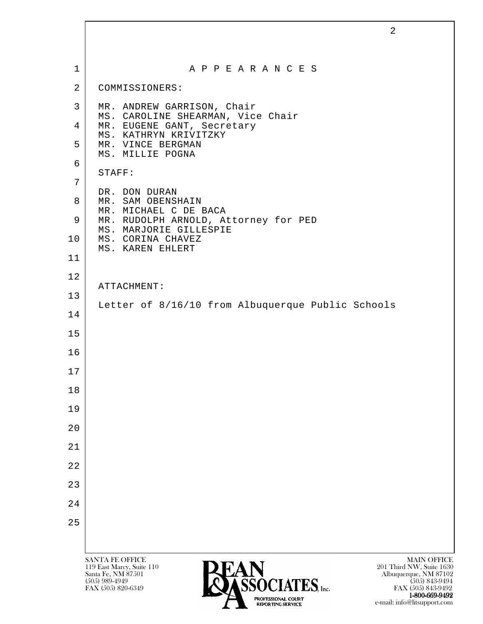|                | $\overline{2}$                                                                                          |
|----------------|---------------------------------------------------------------------------------------------------------|
|                |                                                                                                         |
| $\mathbf 1$    | A P P E A R A N C E S                                                                                   |
| $\overline{2}$ | COMMISSIONERS:                                                                                          |
| 3              | MR. ANDREW GARRISON, Chair                                                                              |
| 4              | MS. CAROLINE SHEARMAN, Vice Chair<br>MR. EUGENE GANT, Secretary                                         |
| 5              | MS. KATHRYN KRIVITZKY<br>MR. VINCE BERGMAN                                                              |
| 6              | MS. MILLIE POGNA                                                                                        |
| 7              | STAFF:                                                                                                  |
| 8              | DR. DON DURAN<br>MR. SAM OBENSHAIN                                                                      |
| 9              | MR. MICHAEL C DE BACA<br>MR. RUDOLPH ARNOLD, Attorney for PED                                           |
| 10             | MS. MARJORIE GILLESPIE<br>MS. CORINA CHAVEZ<br>MS. KAREN EHLERT                                         |
| 11             |                                                                                                         |
| 12             | ATTACHMENT:                                                                                             |
| 13             | Letter of 8/16/10 from Albuquerque Public Schools                                                       |
| 14             |                                                                                                         |
| 15             |                                                                                                         |
| 16             |                                                                                                         |
| 17             |                                                                                                         |
| 18             |                                                                                                         |
| 19             |                                                                                                         |
| 20             |                                                                                                         |
| 21             |                                                                                                         |
| 22             |                                                                                                         |
| 23             |                                                                                                         |
| 24             |                                                                                                         |
| 25             |                                                                                                         |
|                |                                                                                                         |
|                | <b>SANTA FE OFFICE</b><br><b>MAIN OFFICE</b><br>119 East Marcy, Suite 110<br>201 Third NW, Suite 1630   |
|                | Albuquerque, NM 87102<br>Santa Fe, NM 87501<br><b>RÉÀCIATEC</b><br>$(505)$ 989-4949<br>$(505)$ 843-9494 |

 $FAX (505) 820-6349$  FAX  $(505) 820-6349$ 

1-800-669-9492 e-mail: info@litsupport.com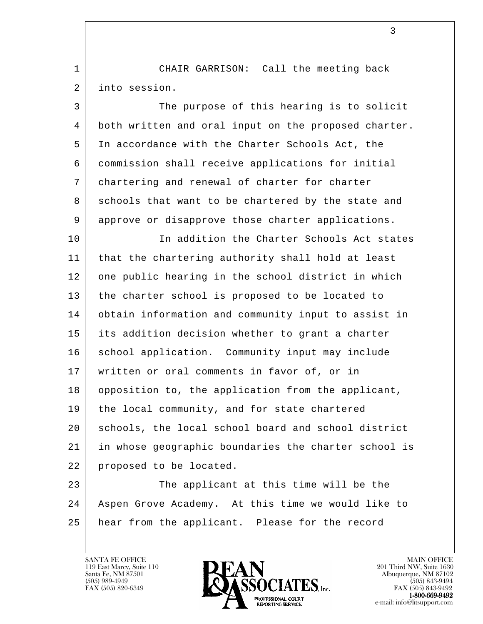1 | CHAIR GARRISON: Call the meeting back 2 into session.

 3 The purpose of this hearing is to solicit 4 both written and oral input on the proposed charter. 5 In accordance with the Charter Schools Act, the 6 commission shall receive applications for initial 7 chartering and renewal of charter for charter 8 schools that want to be chartered by the state and 9 approve or disapprove those charter applications.

10 In addition the Charter Schools Act states 11 that the chartering authority shall hold at least 12 one public hearing in the school district in which 13 | the charter school is proposed to be located to 14 obtain information and community input to assist in 15 its addition decision whether to grant a charter 16 | school application. Community input may include 17 written or oral comments in favor of, or in 18 | opposition to, the application from the applicant, 19 the local community, and for state chartered 20 schools, the local school board and school district 21 in whose geographic boundaries the charter school is 22 proposed to be located.

l 23 The applicant at this time will be the 24 Aspen Grove Academy. At this time we would like to 25 hear from the applicant. Please for the record

119 East Marcy, Suite 110<br>Santa Fe, NM 87501



FAX (505) 843-9492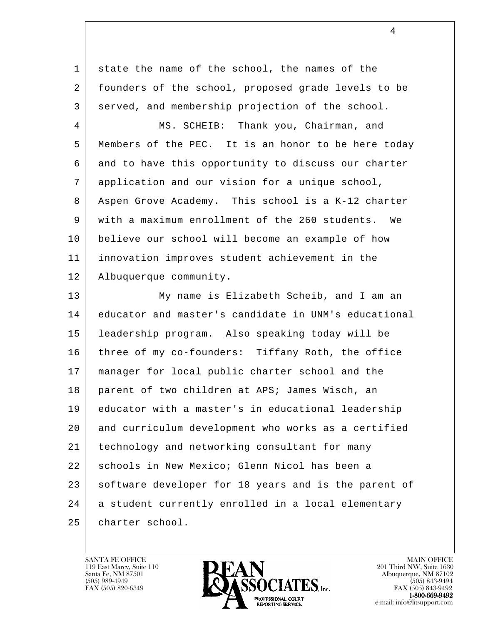1 state the name of the school, the names of the 2 founders of the school, proposed grade levels to be 3 served, and membership projection of the school.

 4 MS. SCHEIB: Thank you, Chairman, and 5 | Members of the PEC. It is an honor to be here today 6 and to have this opportunity to discuss our charter 7 application and our vision for a unique school, 8 Aspen Grove Academy. This school is a K-12 charter 9 with a maximum enrollment of the 260 students. We 10 believe our school will become an example of how 11 innovation improves student achievement in the 12 Albuquerque community.

l 13 My name is Elizabeth Scheib, and I am an 14 educator and master's candidate in UNM's educational 15 leadership program. Also speaking today will be 16 three of my co-founders: Tiffany Roth, the office 17 manager for local public charter school and the 18 parent of two children at APS; James Wisch, an 19 educator with a master's in educational leadership 20 and curriculum development who works as a certified 21 technology and networking consultant for many 22 schools in New Mexico; Glenn Nicol has been a 23 software developer for 18 years and is the parent of 24 a student currently enrolled in a local elementary 25 | charter school.

119 East Marcy, Suite 110<br>Santa Fe, NM 87501



FAX (505) 843-9492 e-mail: info@litsupport.com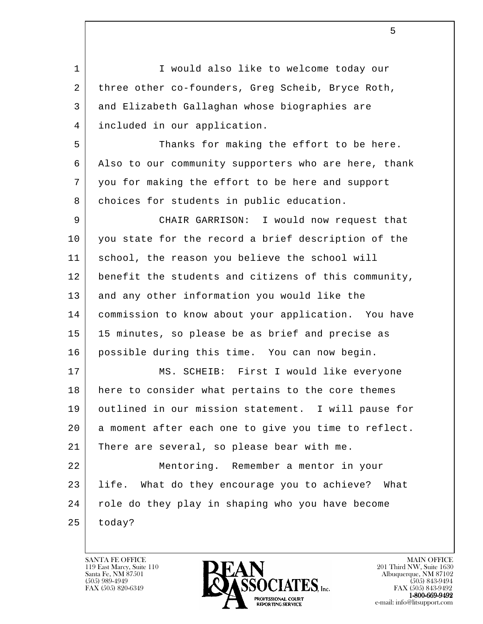l 1 | I would also like to welcome today our 2 three other co-founders, Greg Scheib, Bryce Roth, 3 and Elizabeth Gallaghan whose biographies are 4 included in our application. 5 Thanks for making the effort to be here. 6 Also to our community supporters who are here, thank 7 you for making the effort to be here and support 8 | choices for students in public education. 9 CHAIR GARRISON: I would now request that 10 you state for the record a brief description of the 11 | school, the reason you believe the school will 12 | benefit the students and citizens of this community, 13 and any other information you would like the 14 commission to know about your application. You have 15 | 15 minutes, so please be as brief and precise as 16 possible during this time. You can now begin. 17 | MS. SCHEIB: First I would like everyone 18 here to consider what pertains to the core themes 19 outlined in our mission statement. I will pause for 20 a moment after each one to give you time to reflect. 21 There are several, so please bear with me. 22 Mentoring. Remember a mentor in your 23 life. What do they encourage you to achieve? What 24 | role do they play in shaping who you have become  $25$  today?

 $5<sub>5</sub>$ 

119 East Marcy, Suite 110<br>Santa Fe, NM 87501



FAX (505) 843-9492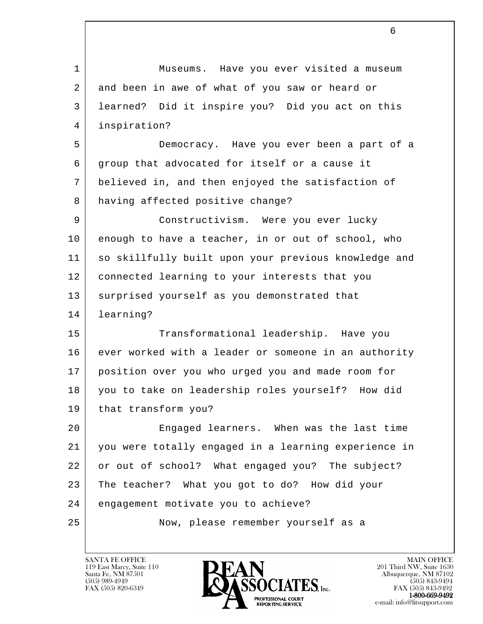l 1 Museums. Have you ever visited a museum 2 and been in awe of what of you saw or heard or 3 learned? Did it inspire you? Did you act on this 4 inspiration? 5 Democracy. Have you ever been a part of a 6 group that advocated for itself or a cause it 7 believed in, and then enjoyed the satisfaction of 8 having affected positive change? 9 Constructivism. Were you ever lucky 10 enough to have a teacher, in or out of school, who 11 so skillfully built upon your previous knowledge and 12 connected learning to your interests that you 13 | surprised yourself as you demonstrated that 14 learning? 15 Transformational leadership. Have you 16 ever worked with a leader or someone in an authority 17 position over you who urged you and made room for 18 you to take on leadership roles yourself? How did 19 | that transform you? 20 Engaged learners. When was the last time 21 you were totally engaged in a learning experience in 22 or out of school? What engaged you? The subject? 23 The teacher? What you got to do? How did your 24 engagement motivate you to achieve? 25 Now, please remember yourself as a

119 East Marcy, Suite 110<br>Santa Fe, NM 87501

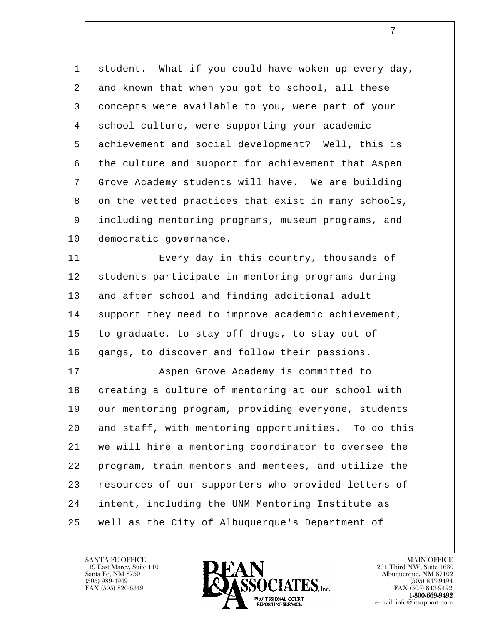1 student. What if you could have woken up every day, 2 and known that when you got to school, all these 3 concepts were available to you, were part of your 4 school culture, were supporting your academic 5 achievement and social development? Well, this is 6 the culture and support for achievement that Aspen 7 Grove Academy students will have. We are building 8 on the vetted practices that exist in many schools, 9 including mentoring programs, museum programs, and 10 democratic governance.

11 Every day in this country, thousands of 12 students participate in mentoring programs during 13 and after school and finding additional adult 14 support they need to improve academic achievement, 15 to graduate, to stay off drugs, to stay out of 16 | gangs, to discover and follow their passions.

l 17 | **Aspen Grove Academy is committed to** 18 creating a culture of mentoring at our school with 19 | our mentoring program, providing everyone, students 20 and staff, with mentoring opportunities. To do this 21 we will hire a mentoring coordinator to oversee the 22 program, train mentors and mentees, and utilize the 23 resources of our supporters who provided letters of 24 intent, including the UNM Mentoring Institute as 25 well as the City of Albuquerque's Department of

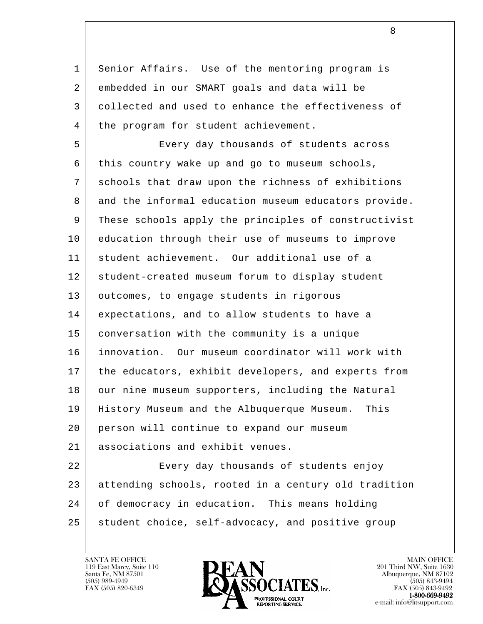1 Senior Affairs. Use of the mentoring program is 2 embedded in our SMART goals and data will be 3 collected and used to enhance the effectiveness of 4 | the program for student achievement.

 5 Every day thousands of students across 6 this country wake up and go to museum schools, 7 schools that draw upon the richness of exhibitions 8 and the informal education museum educators provide. 9 These schools apply the principles of constructivist 10 education through their use of museums to improve 11 student achievement. Our additional use of a 12 student-created museum forum to display student 13 | outcomes, to engage students in rigorous 14 expectations, and to allow students to have a 15 conversation with the community is a unique 16 innovation. Our museum coordinator will work with 17 the educators, exhibit developers, and experts from 18 our nine museum supporters, including the Natural 19 History Museum and the Albuquerque Museum. This 20 person will continue to expand our museum 21 associations and exhibit venues.

l 22 Every day thousands of students enjoy 23 attending schools, rooted in a century old tradition 24 of democracy in education. This means holding 25 student choice, self-advocacy, and positive group

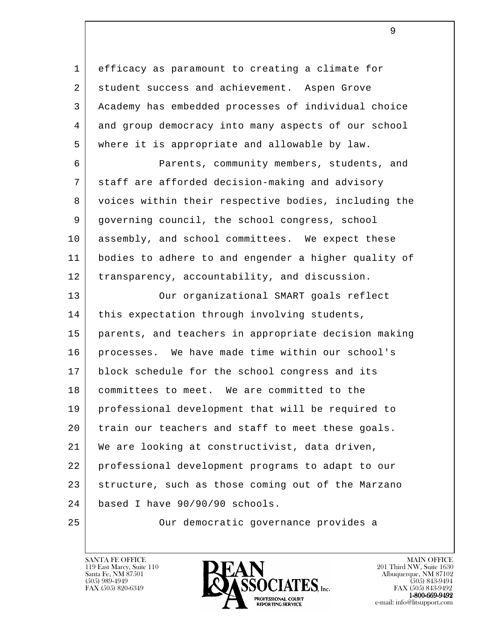1 efficacy as paramount to creating a climate for 2 student success and achievement. Aspen Grove 3 Academy has embedded processes of individual choice 4 and group democracy into many aspects of our school 5 where it is appropriate and allowable by law.

 6 Parents, community members, students, and 7 staff are afforded decision-making and advisory 8 voices within their respective bodies, including the 9 | governing council, the school congress, school 10 assembly, and school committees. We expect these 11 bodies to adhere to and engender a higher quality of 12 | transparency, accountability, and discussion.

l 13 | Our organizational SMART goals reflect 14 | this expectation through involving students, 15 parents, and teachers in appropriate decision making 16 | processes. We have made time within our school's 17 block schedule for the school congress and its 18 | committees to meet. We are committed to the 19 professional development that will be required to 20 train our teachers and staff to meet these goals. 21 We are looking at constructivist, data driven, 22 professional development programs to adapt to our 23 structure, such as those coming out of the Marzano 24 based I have 90/90/90 schools.

25 Our democratic governance provides a

119 East Marcy, Suite 110<br>Santa Fe, NM 87501



FAX (505) 843-9492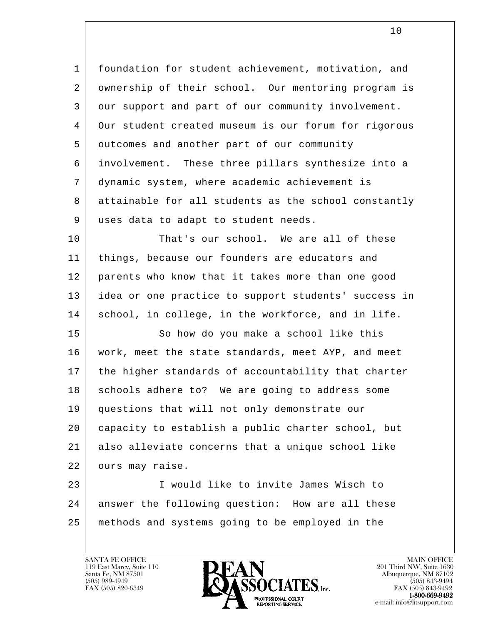1 | foundation for student achievement, motivation, and 2 | ownership of their school. Our mentoring program is 3 our support and part of our community involvement. 4 Our student created museum is our forum for rigorous 5 outcomes and another part of our community 6 involvement. These three pillars synthesize into a 7 dynamic system, where academic achievement is 8 attainable for all students as the school constantly 9 uses data to adapt to student needs.

10 | That's our school. We are all of these 11 things, because our founders are educators and 12 parents who know that it takes more than one good 13 idea or one practice to support students' success in 14 | school, in college, in the workforce, and in life.

15 So how do you make a school like this 16 work, meet the state standards, meet AYP, and meet 17 | the higher standards of accountability that charter 18 | schools adhere to? We are going to address some 19 questions that will not only demonstrate our 20 capacity to establish a public charter school, but 21 also alleviate concerns that a unique school like 22 | ours may raise.

l 23 I would like to invite James Wisch to 24 answer the following question: How are all these 25 methods and systems going to be employed in the

119 East Marcy, Suite 110<br>Santa Fe, NM 87501



FAX (505) 843-9492 e-mail: info@litsupport.com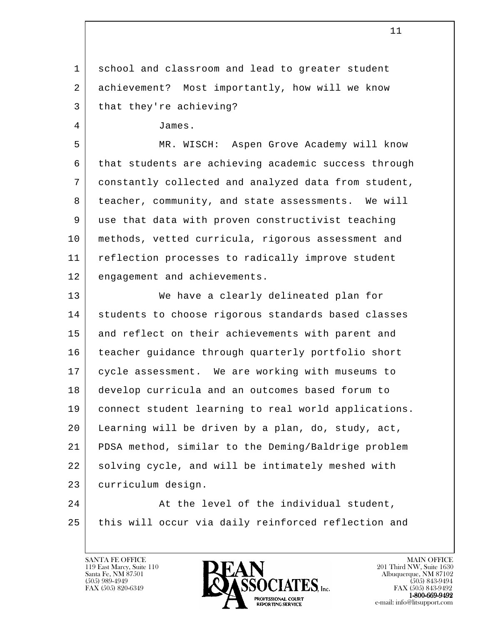1 school and classroom and lead to greater student 2 achievement? Most importantly, how will we know 3 | that they're achieving?

4 James.

 5 MR. WISCH: Aspen Grove Academy will know 6 | that students are achieving academic success through 7 constantly collected and analyzed data from student, 8 | teacher, community, and state assessments. We will 9 use that data with proven constructivist teaching 10 methods, vetted curricula, rigorous assessment and 11 reflection processes to radically improve student 12 engagement and achievements.

 13 We have a clearly delineated plan for 14 students to choose rigorous standards based classes 15 and reflect on their achievements with parent and 16 teacher guidance through quarterly portfolio short 17 cycle assessment. We are working with museums to 18 develop curricula and an outcomes based forum to 19 connect student learning to real world applications. 20 Learning will be driven by a plan, do, study, act, 21 PDSA method, similar to the Deming/Baldrige problem 22 solving cycle, and will be intimately meshed with 23 curriculum design.

l 24 At the level of the individual student, 25 this will occur via daily reinforced reflection and

119 East Marcy, Suite 110<br>Santa Fe, NM 87501



 $FAX (505) 843-9492$ <br>1-800-669-9492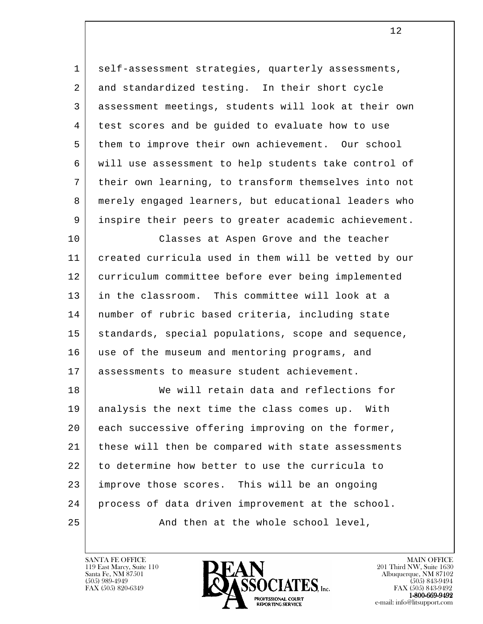1 | self-assessment strategies, quarterly assessments, 2 and standardized testing. In their short cycle 3 assessment meetings, students will look at their own 4 | test scores and be guided to evaluate how to use 5 them to improve their own achievement. Our school 6 will use assessment to help students take control of 7 their own learning, to transform themselves into not 8 merely engaged learners, but educational leaders who 9 inspire their peers to greater academic achievement.

 10 Classes at Aspen Grove and the teacher 11 created curricula used in them will be vetted by our 12 curriculum committee before ever being implemented 13 in the classroom. This committee will look at a 14 number of rubric based criteria, including state 15 | standards, special populations, scope and sequence, 16 use of the museum and mentoring programs, and 17 assessments to measure student achievement.

l 18 We will retain data and reflections for 19 analysis the next time the class comes up. With 20 each successive offering improving on the former, 21 | these will then be compared with state assessments 22 to determine how better to use the curricula to 23 improve those scores. This will be an ongoing 24 process of data driven improvement at the school. 25 | And then at the whole school level,

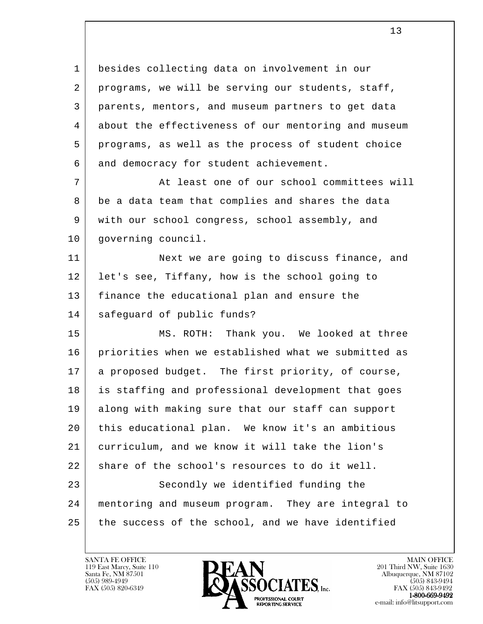1 besides collecting data on involvement in our 2 programs, we will be serving our students, staff, 3 parents, mentors, and museum partners to get data 4 about the effectiveness of our mentoring and museum 5 programs, as well as the process of student choice 6 and democracy for student achievement. 7 | At least one of our school committees will 8 be a data team that complies and shares the data 9 with our school congress, school assembly, and 10 | governing council. 11 Next we are going to discuss finance, and 12 | let's see, Tiffany, how is the school going to 13 finance the educational plan and ensure the 14 safeguard of public funds?

l 15 MS. ROTH: Thank you. We looked at three 16 priorities when we established what we submitted as 17 a proposed budget. The first priority, of course, 18 is staffing and professional development that goes 19 along with making sure that our staff can support 20 this educational plan. We know it's an ambitious 21 curriculum, and we know it will take the lion's  $22$  share of the school's resources to do it well. 23 Secondly we identified funding the 24 mentoring and museum program. They are integral to 25 the success of the school, and we have identified

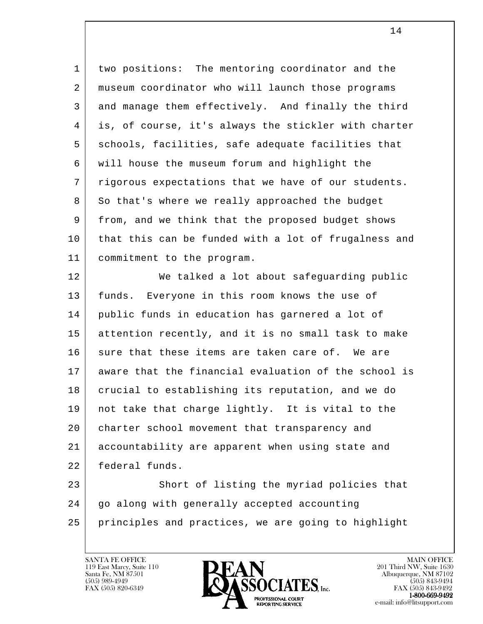1 two positions: The mentoring coordinator and the 2 museum coordinator who will launch those programs 3 and manage them effectively. And finally the third 4 is, of course, it's always the stickler with charter 5 schools, facilities, safe adequate facilities that 6 will house the museum forum and highlight the 7 | rigorous expectations that we have of our students. 8 So that's where we really approached the budget 9 from, and we think that the proposed budget shows 10 that this can be funded with a lot of frugalness and 11 commitment to the program.

12 | We talked a lot about safeguarding public 13 funds. Everyone in this room knows the use of 14 public funds in education has garnered a lot of 15 attention recently, and it is no small task to make 16 sure that these items are taken care of. We are 17 aware that the financial evaluation of the school is 18 crucial to establishing its reputation, and we do 19 not take that charge lightly. It is vital to the 20 charter school movement that transparency and 21 accountability are apparent when using state and 22 federal funds. 23 Short of listing the myriad policies that

l 24 | go along with generally accepted accounting 25 principles and practices, we are going to highlight

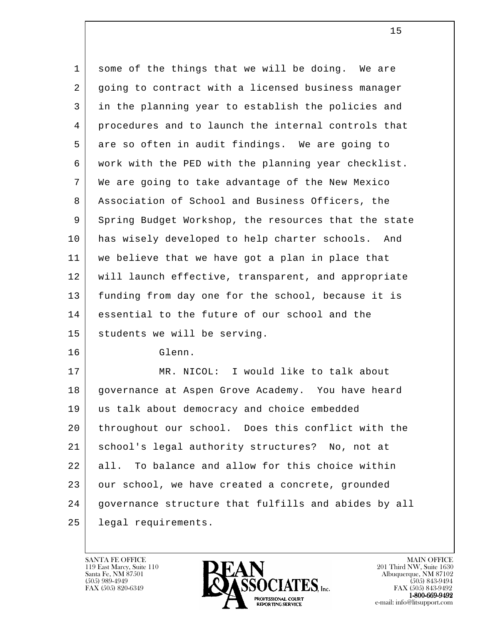| $\mathbf 1$ | some of the things that we will be doing. We are     |
|-------------|------------------------------------------------------|
| 2           | going to contract with a licensed business manager   |
| 3           | in the planning year to establish the policies and   |
| 4           | procedures and to launch the internal controls that  |
| 5           | are so often in audit findings. We are going to      |
| 6           | work with the PED with the planning year checklist.  |
| 7           | We are going to take advantage of the New Mexico     |
| 8           | Association of School and Business Officers, the     |
| 9           | Spring Budget Workshop, the resources that the state |
| 10          | has wisely developed to help charter schools.<br>And |
| 11          | we believe that we have got a plan in place that     |
| 12          | will launch effective, transparent, and appropriate  |
| 13          | funding from day one for the school, because it is   |
| 14          | essential to the future of our school and the        |
| 15          | students we will be serving.                         |
| 16          | Glenn.                                               |
| 17          | MR. NICOL: I would like to talk about                |
| 18          | governance at Aspen Grove Academy. You have heard    |
| 19          | us talk about democracy and choice embedded          |
| 20          | throughout our school. Does this conflict with the   |
| 21          | school's legal authority structures? No, not at      |
| 22          | To balance and allow for this choice within<br>all.  |
| 23          | our school, we have created a concrete, grounded     |
| 24          | governance structure that fulfills and abides by all |
| 25          | legal requirements.                                  |

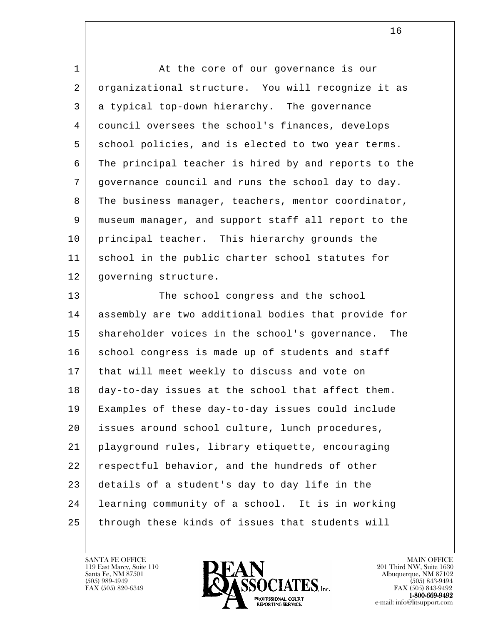1 at the core of our governance is our 2 organizational structure. You will recognize it as 3 a typical top-down hierarchy. The governance 4 council oversees the school's finances, develops 5 school policies, and is elected to two year terms. 6 The principal teacher is hired by and reports to the 7 governance council and runs the school day to day. 8 The business manager, teachers, mentor coordinator, 9 museum manager, and support staff all report to the 10 | principal teacher. This hierarchy grounds the 11 school in the public charter school statutes for 12 | governing structure.

l 13 The school congress and the school 14 assembly are two additional bodies that provide for 15 | shareholder voices in the school's governance. The 16 school congress is made up of students and staff 17 that will meet weekly to discuss and vote on 18 day-to-day issues at the school that affect them. 19 Examples of these day-to-day issues could include 20 | issues around school culture, lunch procedures, 21 playground rules, library etiquette, encouraging 22 respectful behavior, and the hundreds of other 23 details of a student's day to day life in the 24 learning community of a school. It is in working 25 through these kinds of issues that students will

119 East Marcy, Suite 110<br>Santa Fe, NM 87501



FAX (505) 843-9492 e-mail: info@litsupport.com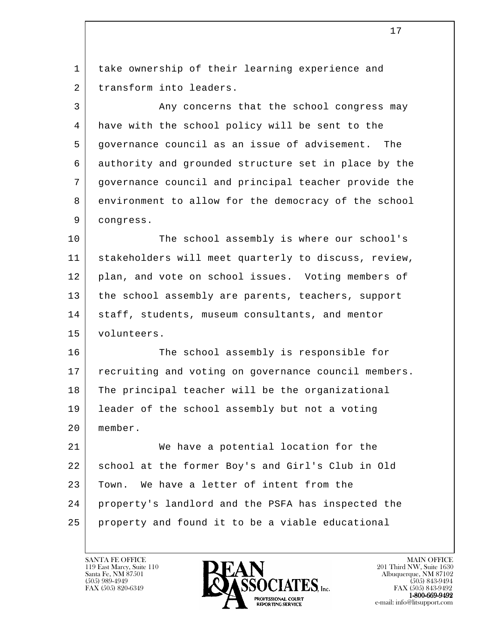l 17 1 | take ownership of their learning experience and 2 transform into leaders. 3 Any concerns that the school congress may 4 have with the school policy will be sent to the 5 governance council as an issue of advisement. The 6 authority and grounded structure set in place by the 7 governance council and principal teacher provide the 8 environment to allow for the democracy of the school 9 congress. 10 The school assembly is where our school's 11 stakeholders will meet quarterly to discuss, review, 12 | plan, and vote on school issues. Voting members of 13 | the school assembly are parents, teachers, support 14 | staff, students, museum consultants, and mentor 15 volunteers. 16 The school assembly is responsible for 17 | recruiting and voting on governance council members. 18 The principal teacher will be the organizational 19 leader of the school assembly but not a voting 20 member. 21 We have a potential location for the 22 school at the former Boy's and Girl's Club in Old 23 Town. We have a letter of intent from the 24 property's landlord and the PSFA has inspected the 25 property and found it to be a viable educational

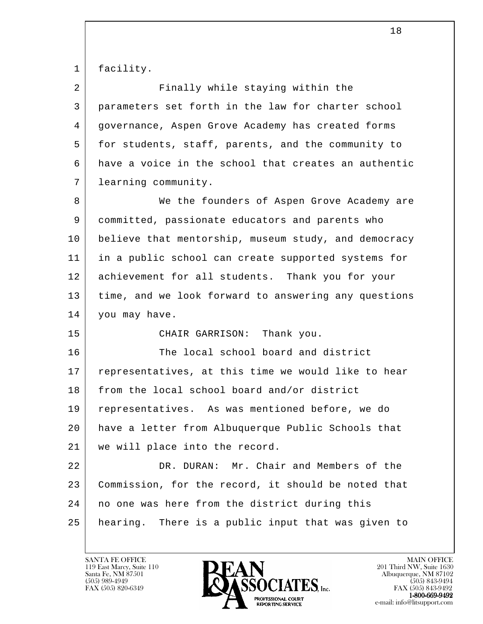1 facility

| 2  | Finally while staying within the                     |
|----|------------------------------------------------------|
| 3  | parameters set forth in the law for charter school   |
| 4  | governance, Aspen Grove Academy has created forms    |
| 5  | for students, staff, parents, and the community to   |
| 6  | have a voice in the school that creates an authentic |
| 7  | learning community.                                  |
| 8  | We the founders of Aspen Grove Academy are           |
| 9  | committed, passionate educators and parents who      |
| 10 | believe that mentorship, museum study, and democracy |
| 11 | in a public school can create supported systems for  |
| 12 | achievement for all students. Thank you for your     |
| 13 | time, and we look forward to answering any questions |
| 14 | you may have.                                        |
| 15 | CHAIR GARRISON: Thank you.                           |
| 16 | The local school board and district                  |
| 17 | representatives, at this time we would like to hear  |
| 18 | from the local school board and/or district          |
| 19 | representatives. As was mentioned before, we do      |
| 20 | have a letter from Albuquerque Public Schools that   |
| 21 | we will place into the record.                       |
| 22 | DR. DURAN: Mr. Chair and Members of the              |
| 23 | Commission, for the record, it should be noted that  |
| 24 | no one was here from the district during this        |
| 25 | hearing. There is a public input that was given to   |
|    |                                                      |

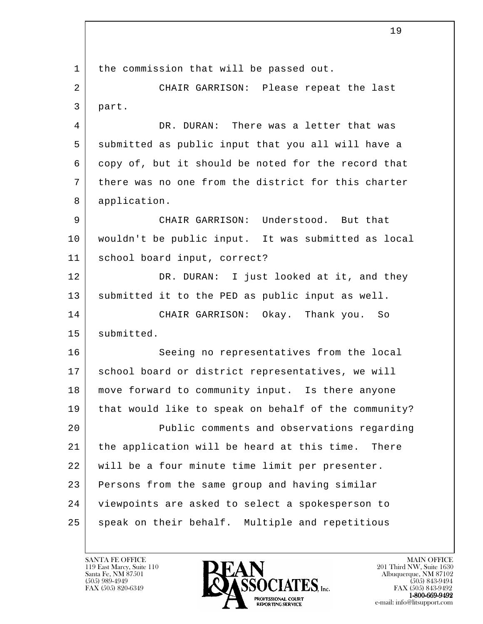l 1 | the commission that will be passed out. 2 CHAIR GARRISON: Please repeat the last 3 part. 4 DR. DURAN: There was a letter that was 5 submitted as public input that you all will have a 6 copy of, but it should be noted for the record that 7 there was no one from the district for this charter 8 application. 9 CHAIR GARRISON: Understood. But that 10 wouldn't be public input. It was submitted as local 11 school board input, correct? 12 DR. DURAN: I just looked at it, and they 13 submitted it to the PED as public input as well. 14 CHAIR GARRISON: Okay. Thank you. So 15 | submitted. 16 Seeing no representatives from the local 17 | school board or district representatives, we will 18 move forward to community input. Is there anyone 19 that would like to speak on behalf of the community? 20 Public comments and observations regarding 21 the application will be heard at this time. There 22 will be a four minute time limit per presenter. 23 Persons from the same group and having similar 24 viewpoints are asked to select a spokesperson to 25 | speak on their behalf. Multiple and repetitious

119 East Marcy, Suite 110<br>Santa Fe, NM 87501

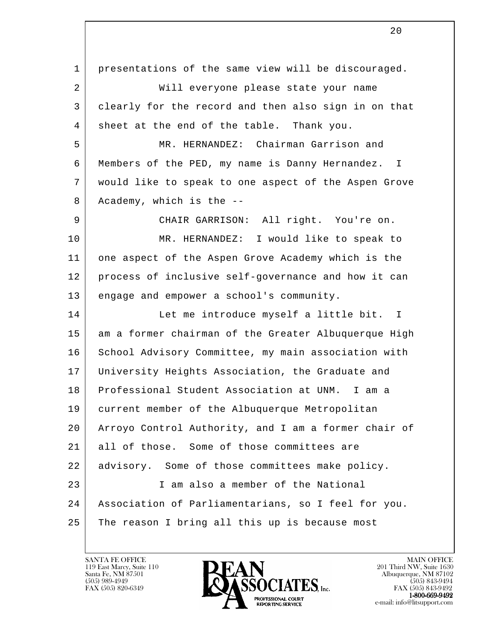l 1 presentations of the same view will be discouraged. 2 Will everyone please state your name 3 clearly for the record and then also sign in on that 4 sheet at the end of the table. Thank you. 5 MR. HERNANDEZ: Chairman Garrison and 6 Members of the PED, my name is Danny Hernandez. I 7 would like to speak to one aspect of the Aspen Grove 8 Academy, which is the -- 9 CHAIR GARRISON: All right. You're on. 10 MR. HERNANDEZ: I would like to speak to 11 one aspect of the Aspen Grove Academy which is the 12 process of inclusive self-governance and how it can 13 engage and empower a school's community. 14 Let me introduce myself a little bit. I 15 am a former chairman of the Greater Albuquerque High 16 School Advisory Committee, my main association with 17 University Heights Association, the Graduate and 18 Professional Student Association at UNM. I am a 19 current member of the Albuquerque Metropolitan 20 Arroyo Control Authority, and I am a former chair of 21 all of those. Some of those committees are 22 advisory. Some of those committees make policy. 23 I am also a member of the National 24 Association of Parliamentarians, so I feel for you. 25 The reason I bring all this up is because most

119 East Marcy, Suite 110<br>Santa Fe, NM 87501



FAX (505) 843-9492 e-mail: info@litsupport.com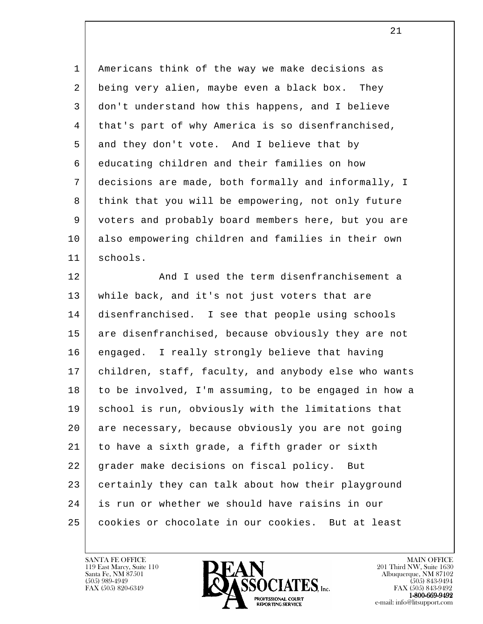1 Americans think of the way we make decisions as 2 being very alien, maybe even a black box. They 3 don't understand how this happens, and I believe 4 | that's part of why America is so disenfranchised, 5 and they don't vote. And I believe that by 6 educating children and their families on how 7 decisions are made, both formally and informally, I 8 think that you will be empowering, not only future 9 voters and probably board members here, but you are 10 also empowering children and families in their own 11 schools.

l 12 And I used the term disenfranchisement a 13 while back, and it's not just voters that are 14 disenfranchised. I see that people using schools 15 are disenfranchised, because obviously they are not 16 engaged. I really strongly believe that having 17 children, staff, faculty, and anybody else who wants 18 to be involved, I'm assuming, to be engaged in how a 19 school is run, obviously with the limitations that 20 are necessary, because obviously you are not going 21 to have a sixth grade, a fifth grader or sixth 22 grader make decisions on fiscal policy. But 23 certainly they can talk about how their playground 24 is run or whether we should have raisins in our 25 | cookies or chocolate in our cookies. But at least

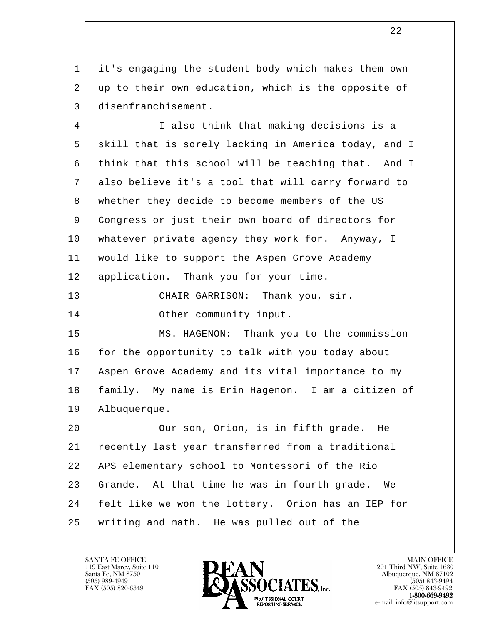1 it's engaging the student body which makes them own 2 up to their own education, which is the opposite of 3 disenfranchisement.

 4 I also think that making decisions is a 5 skill that is sorely lacking in America today, and I 6 think that this school will be teaching that. And I 7 also believe it's a tool that will carry forward to 8 whether they decide to become members of the US 9 Congress or just their own board of directors for 10 whatever private agency they work for. Anyway, I 11 would like to support the Aspen Grove Academy 12 | application. Thank you for your time. 13 CHAIR GARRISON: Thank you, sir. 14 Other community input. 15 | MS. HAGENON: Thank you to the commission 16 for the opportunity to talk with you today about 17 Aspen Grove Academy and its vital importance to my

 18 family. My name is Erin Hagenon. I am a citizen of 19 Albuquerque.

l 20 | Cur son, Orion, is in fifth grade. He 21 recently last year transferred from a traditional 22 APS elementary school to Montessori of the Rio 23 Grande. At that time he was in fourth grade. We 24 felt like we won the lottery. Orion has an IEP for 25 writing and math. He was pulled out of the

119 East Marcy, Suite 110<br>Santa Fe, NM 87501

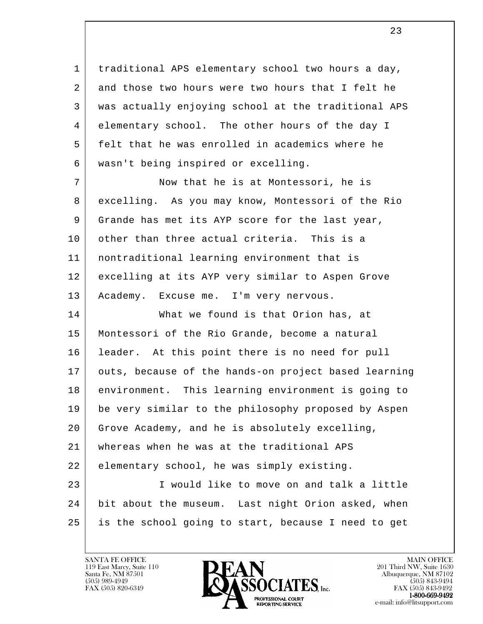1 | traditional APS elementary school two hours a day, 2 and those two hours were two hours that I felt he 3 was actually enjoying school at the traditional APS 4 elementary school. The other hours of the day I 5 felt that he was enrolled in academics where he 6 wasn't being inspired or excelling.

7 Now that he is at Montessori, he is 8 excelling. As you may know, Montessori of the Rio 9 Grande has met its AYP score for the last year, 10 | other than three actual criteria. This is a 11 nontraditional learning environment that is 12 excelling at its AYP very similar to Aspen Grove 13 | Academy. Excuse me. I'm very nervous.

l 14 What we found is that Orion has, at 15 Montessori of the Rio Grande, become a natural 16 leader. At this point there is no need for pull 17 outs, because of the hands-on project based learning 18 environment. This learning environment is going to 19 be very similar to the philosophy proposed by Aspen 20 Grove Academy, and he is absolutely excelling, 21 whereas when he was at the traditional APS 22 elementary school, he was simply existing. 23 I would like to move on and talk a little 24 bit about the museum. Last night Orion asked, when 25 is the school going to start, because I need to get

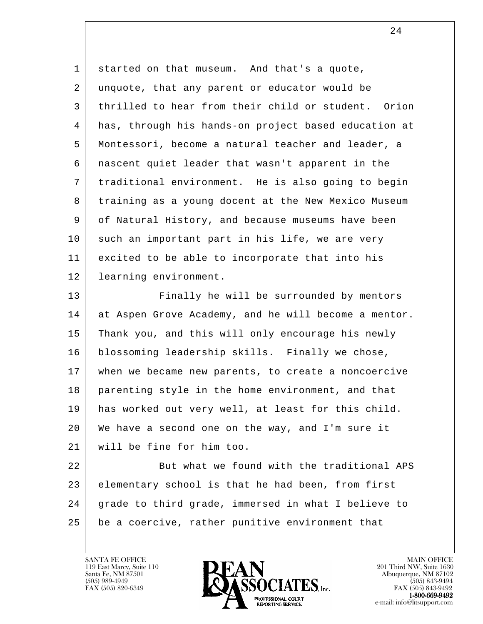1 started on that museum. And that's a quote, 2 unquote, that any parent or educator would be 3 thrilled to hear from their child or student. Orion 4 has, through his hands-on project based education at 5 Montessori, become a natural teacher and leader, a 6 nascent quiet leader that wasn't apparent in the 7 traditional environment. He is also going to begin 8 training as a young docent at the New Mexico Museum 9 of Natural History, and because museums have been 10 such an important part in his life, we are very 11 excited to be able to incorporate that into his 12 | learning environment.

13 Finally he will be surrounded by mentors 14 at Aspen Grove Academy, and he will become a mentor. 15 Thank you, and this will only encourage his newly 16 blossoming leadership skills. Finally we chose, 17 when we became new parents, to create a noncoercive 18 parenting style in the home environment, and that 19 has worked out very well, at least for this child. 20 We have a second one on the way, and I'm sure it 21 will be fine for him too.

l 22 But what we found with the traditional APS 23 elementary school is that he had been, from first 24 grade to third grade, immersed in what I believe to 25 be a coercive, rather punitive environment that

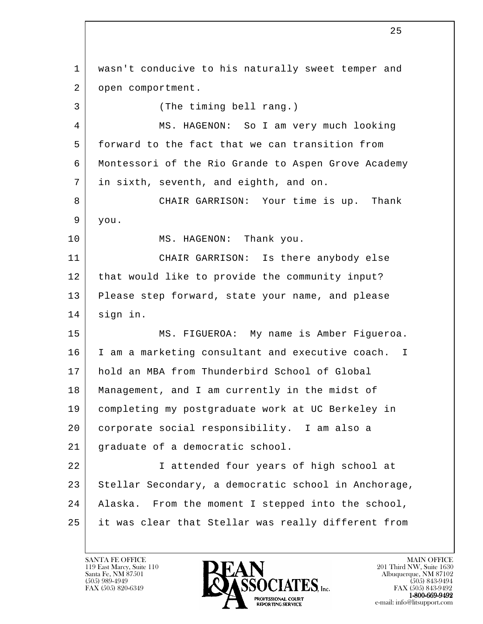l 1 wasn't conducive to his naturally sweet temper and 2 | open comportment. 3 (The timing bell rang.) 4 MS. HAGENON: So I am very much looking 5 forward to the fact that we can transition from 6 Montessori of the Rio Grande to Aspen Grove Academy 7 in sixth, seventh, and eighth, and on. 8 CHAIR GARRISON: Your time is up. Thank 9 you. 10 MS. HAGENON: Thank you. 11 CHAIR GARRISON: Is there anybody else 12 | that would like to provide the community input? 13 Please step forward, state your name, and please 14 sign in. 15 MS. FIGUEROA: My name is Amber Figueroa. 16 I am a marketing consultant and executive coach. I 17 hold an MBA from Thunderbird School of Global 18 Management, and I am currently in the midst of 19 completing my postgraduate work at UC Berkeley in 20 corporate social responsibility. I am also a 21 graduate of a democratic school. 22 I attended four years of high school at 23 Stellar Secondary, a democratic school in Anchorage, 24 Alaska. From the moment I stepped into the school, 25 it was clear that Stellar was really different from

 $\overline{\phantom{a}}$  25

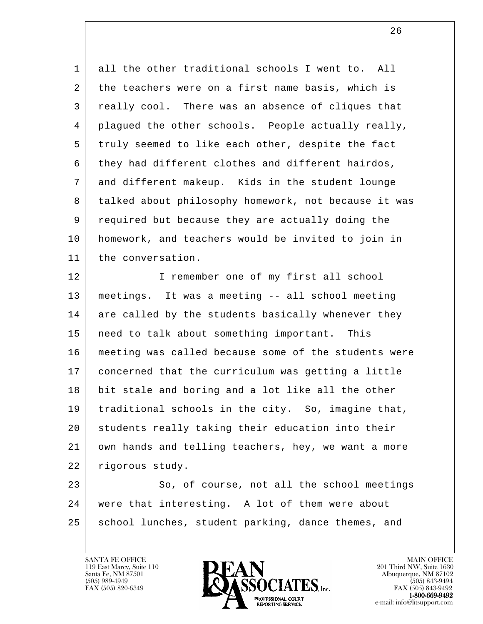1 all the other traditional schools I went to. All 2 the teachers were on a first name basis, which is 3 really cool. There was an absence of cliques that 4 plagued the other schools. People actually really, 5 truly seemed to like each other, despite the fact 6 they had different clothes and different hairdos, 7 and different makeup. Kids in the student lounge 8 talked about philosophy homework, not because it was 9 required but because they are actually doing the 10 homework, and teachers would be invited to join in 11 | the conversation.

12 | I remember one of my first all school 13 meetings. It was a meeting -- all school meeting 14 are called by the students basically whenever they 15 need to talk about something important. This 16 meeting was called because some of the students were 17 concerned that the curriculum was getting a little 18 bit stale and boring and a lot like all the other 19 traditional schools in the city. So, imagine that, 20 students really taking their education into their 21 own hands and telling teachers, hey, we want a more 22 | rigorous study.

l 23 So, of course, not all the school meetings 24 were that interesting. A lot of them were about 25 | school lunches, student parking, dance themes, and

119 East Marcy, Suite 110<br>Santa Fe, NM 87501



 $\overline{\phantom{a}}$  26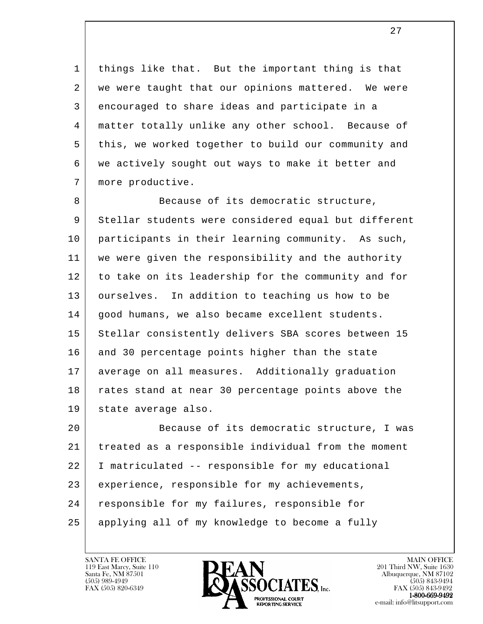1 | things like that. But the important thing is that 2 | we were taught that our opinions mattered. We were 3 encouraged to share ideas and participate in a 4 matter totally unlike any other school. Because of 5 this, we worked together to build our community and 6 we actively sought out ways to make it better and 7 | more productive.

8 Because of its democratic structure, 9 Stellar students were considered equal but different 10 participants in their learning community. As such, 11 we were given the responsibility and the authority 12 to take on its leadership for the community and for 13 ourselves. In addition to teaching us how to be 14 | good humans, we also became excellent students. 15 Stellar consistently delivers SBA scores between 15 16 and 30 percentage points higher than the state 17 average on all measures. Additionally graduation 18 rates stand at near 30 percentage points above the 19 state average also.

l 20 Because of its democratic structure, I was 21 treated as a responsible individual from the moment 22 I matriculated -- responsible for my educational 23 experience, responsible for my achievements, 24 | responsible for my failures, responsible for 25 applying all of my knowledge to become a fully

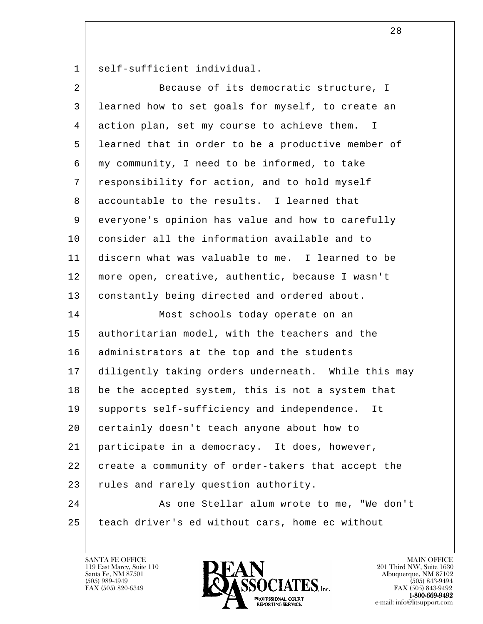1 self-sufficient individual.

| 2              | Because of its democratic structure, I              |
|----------------|-----------------------------------------------------|
| 3              | learned how to set goals for myself, to create an   |
| $\overline{4}$ | action plan, set my course to achieve them. I       |
| 5              | learned that in order to be a productive member of  |
| 6              | my community, I need to be informed, to take        |
| 7              | responsibility for action, and to hold myself       |
| 8              | accountable to the results. I learned that          |
| 9              | everyone's opinion has value and how to carefully   |
| 10             | consider all the information available and to       |
| 11             | discern what was valuable to me. I learned to be    |
| 12             | more open, creative, authentic, because I wasn't    |
| 13             | constantly being directed and ordered about.        |
| 14             | Most schools today operate on an                    |
| 15             | authoritarian model, with the teachers and the      |
| 16             | administrators at the top and the students          |
| 17             | diligently taking orders underneath. While this may |
| 18             | be the accepted system, this is not a system that   |
| 19             | supports self-sufficiency and independence.<br>It   |
| 20             | certainly doesn't teach anyone about how to         |
| 21             | participate in a democracy. It does, however,       |
| 22             | create a community of order-takers that accept the  |
| 23             | rules and rarely question authority.                |
| 24             | As one Stellar alum wrote to me, "We don't          |
| 25             | teach driver's ed without cars, home ec without     |
|                |                                                     |

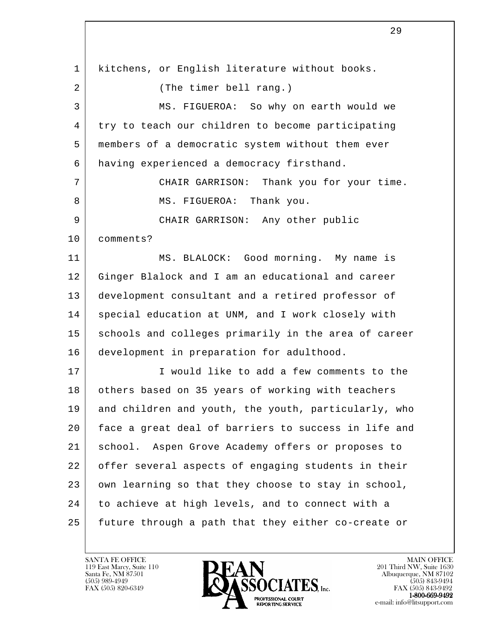l 1 | kitchens, or English literature without books. 2 (The timer bell rang.) 3 MS. FIGUEROA: So why on earth would we 4 try to teach our children to become participating 5 members of a democratic system without them ever 6 having experienced a democracy firsthand. 7 CHAIR GARRISON: Thank you for your time. 8 | MS. FIGUEROA: Thank you. 9 CHAIR GARRISON: Any other public 10 comments? 11 MS. BLALOCK: Good morning. My name is 12 Ginger Blalock and I am an educational and career 13 development consultant and a retired professor of 14 | special education at UNM, and I work closely with 15 schools and colleges primarily in the area of career 16 development in preparation for adulthood. 17 | I would like to add a few comments to the 18 others based on 35 years of working with teachers 19 and children and youth, the youth, particularly, who 20 face a great deal of barriers to success in life and 21 school. Aspen Grove Academy offers or proposes to 22 offer several aspects of engaging students in their 23 own learning so that they choose to stay in school, 24 to achieve at high levels, and to connect with a 25 future through a path that they either co-create or

119 East Marcy, Suite 110<br>Santa Fe, NM 87501



FAX (505) 843-9492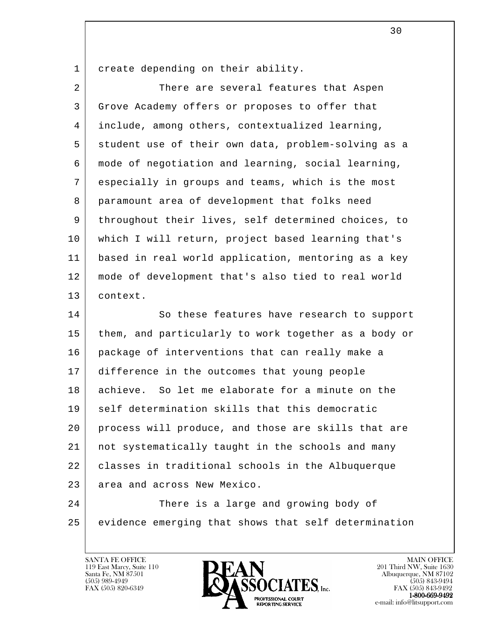1 create depending on their ability.

2 There are several features that Aspen 3 Grove Academy offers or proposes to offer that 4 include, among others, contextualized learning, 5 student use of their own data, problem-solving as a 6 mode of negotiation and learning, social learning, 7 especially in groups and teams, which is the most 8 paramount area of development that folks need 9 | throughout their lives, self determined choices, to 10 which I will return, project based learning that's 11 based in real world application, mentoring as a key 12 mode of development that's also tied to real world 13 context.

14 So these features have research to support 15 | them, and particularly to work together as a body or 16 package of interventions that can really make a 17 difference in the outcomes that young people 18 achieve. So let me elaborate for a minute on the 19 | self determination skills that this democratic 20 process will produce, and those are skills that are 21 not systematically taught in the schools and many 22 classes in traditional schools in the Albuquerque 23 area and across New Mexico. 24 There is a large and growing body of

l 25 evidence emerging that shows that self determination



FAX (505) 843-9492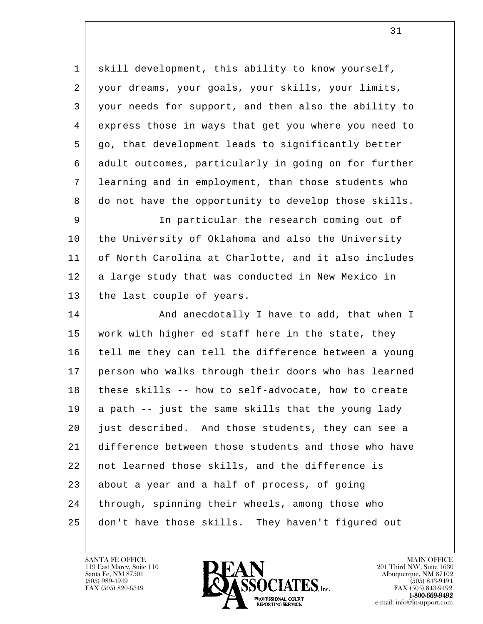1 | skill development, this ability to know yourself, 2 your dreams, your goals, your skills, your limits, 3 your needs for support, and then also the ability to 4 express those in ways that get you where you need to 5 go, that development leads to significantly better 6 adult outcomes, particularly in going on for further 7 learning and in employment, than those students who 8 do not have the opportunity to develop those skills.

 9 In particular the research coming out of 10 the University of Oklahoma and also the University 11 of North Carolina at Charlotte, and it also includes 12 | a large study that was conducted in New Mexico in 13 the last couple of years.

l 14 And anecdotally I have to add, that when I 15 work with higher ed staff here in the state, they 16 tell me they can tell the difference between a young 17 person who walks through their doors who has learned 18 these skills -- how to self-advocate, how to create  $19$  a path  $-$  just the same skills that the young lady 20 just described. And those students, they can see a 21 difference between those students and those who have 22 not learned those skills, and the difference is 23 about a year and a half of process, of going 24 | through, spinning their wheels, among those who 25 don't have those skills. They haven't figured out



FAX (505) 843-9492 e-mail: info@litsupport.com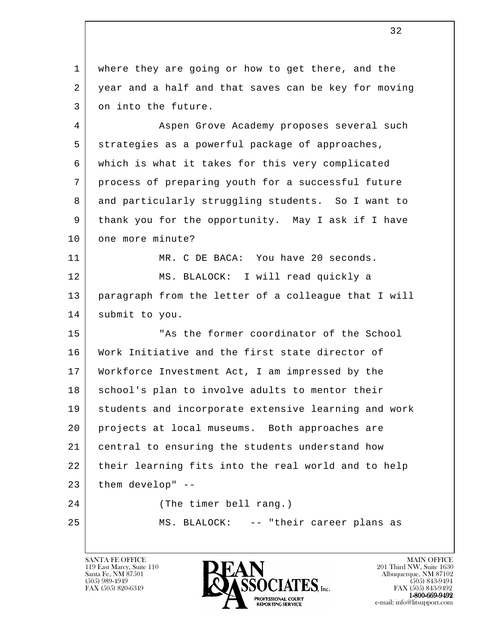1 where they are going or how to get there, and the 2 year and a half and that saves can be key for moving 3 on into the future.

4 Aspen Grove Academy proposes several such 5 strategies as a powerful package of approaches, 6 which is what it takes for this very complicated 7 process of preparing youth for a successful future 8 and particularly struggling students. So I want to 9 thank you for the opportunity. May I ask if I have 10 one more minute?

 11 MR. C DE BACA: You have 20 seconds. 12 | MS. BLALOCK: I will read quickly a 13 paragraph from the letter of a colleague that I will 14 submit to you.

l 15 | This the former coordinator of the School 16 Work Initiative and the first state director of 17 Workforce Investment Act, I am impressed by the 18 | school's plan to involve adults to mentor their 19 students and incorporate extensive learning and work 20 projects at local museums. Both approaches are 21 central to ensuring the students understand how 22 their learning fits into the real world and to help 23 them develop" --24 (The timer bell rang.) 25 MS. BLALOCK: -- "their career plans as

119 East Marcy, Suite 110<br>Santa Fe, NM 87501



FAX (505) 843-9492 e-mail: info@litsupport.com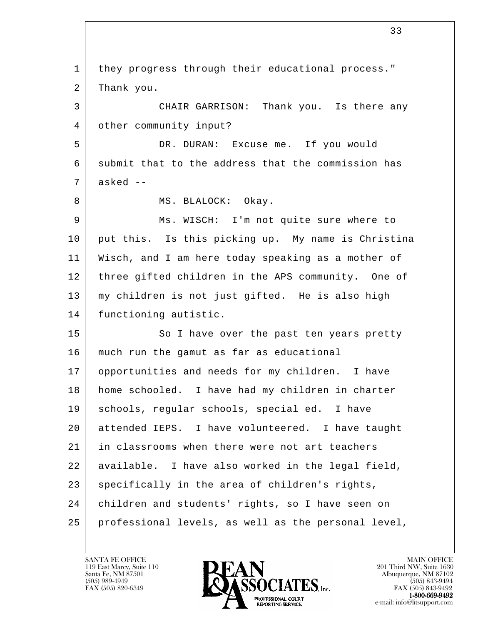l 1 | they progress through their educational process." 2 Thank you. 3 CHAIR GARRISON: Thank you. Is there any 4 other community input? 5 DR. DURAN: Excuse me. If you would 6 submit that to the address that the commission has  $7$  asked  $-$ 8 | MS. BLALOCK: Okay. 9 Ms. WISCH: I'm not quite sure where to 10 put this. Is this picking up. My name is Christina 11 Wisch, and I am here today speaking as a mother of 12 three gifted children in the APS community. One of 13 my children is not just gifted. He is also high 14 | functioning autistic. 15 So I have over the past ten years pretty 16 much run the gamut as far as educational 17 opportunities and needs for my children. I have 18 home schooled. I have had my children in charter 19 schools, regular schools, special ed. I have 20 attended IEPS. I have volunteered. I have taught 21 in classrooms when there were not art teachers 22 available. I have also worked in the legal field, 23 | specifically in the area of children's rights, 24 children and students' rights, so I have seen on 25 professional levels, as well as the personal level,

119 East Marcy, Suite 110<br>Santa Fe, NM 87501

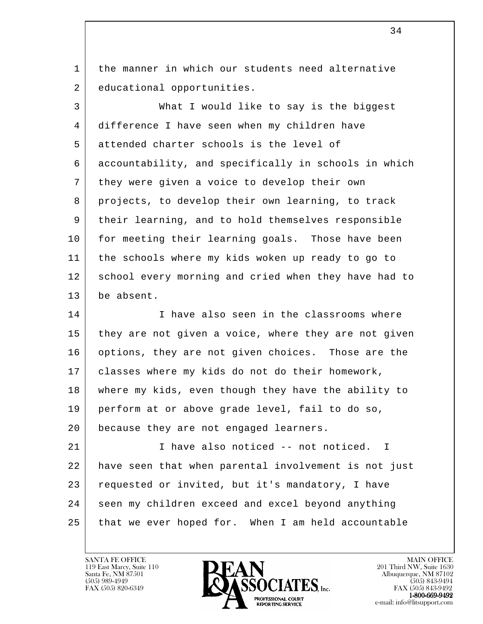1 the manner in which our students need alternative 2 educational opportunities.

 3 What I would like to say is the biggest 4 difference I have seen when my children have 5 attended charter schools is the level of 6 accountability, and specifically in schools in which 7 they were given a voice to develop their own 8 projects, to develop their own learning, to track 9 | their learning, and to hold themselves responsible 10 for meeting their learning goals. Those have been 11 the schools where my kids woken up ready to go to 12 school every morning and cried when they have had to 13 be absent.

14 I lave also seen in the classrooms where 15 they are not given a voice, where they are not given 16 options, they are not given choices. Those are the 17 classes where my kids do not do their homework, 18 where my kids, even though they have the ability to 19 perform at or above grade level, fail to do so, 20 because they are not engaged learners.

l 21 I have also noticed -- not noticed. I 22 have seen that when parental involvement is not just 23 requested or invited, but it's mandatory, I have 24 seen my children exceed and excel beyond anything 25 that we ever hoped for. When I am held accountable

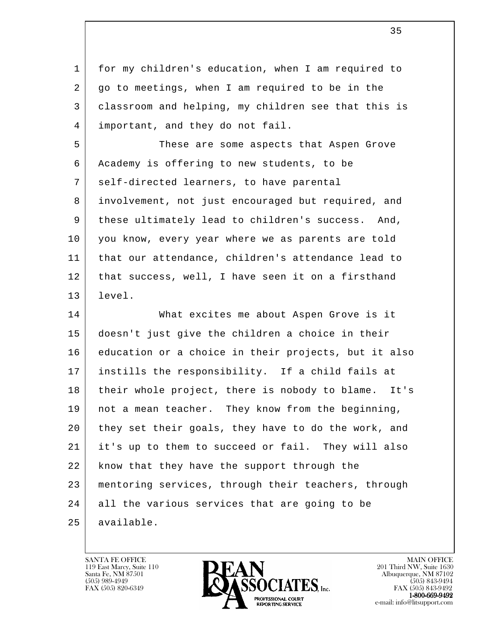1 for my children's education, when I am required to 2 | go to meetings, when I am required to be in the 3 classroom and helping, my children see that this is 4 important, and they do not fail.

 5 These are some aspects that Aspen Grove 6 Academy is offering to new students, to be 7 | self-directed learners, to have parental 8 involvement, not just encouraged but required, and 9 these ultimately lead to children's success. And, 10 you know, every year where we as parents are told 11 that our attendance, children's attendance lead to 12 | that success, well, I have seen it on a firsthand 13 level.

l 14 What excites me about Aspen Grove is it 15 doesn't just give the children a choice in their 16 education or a choice in their projects, but it also 17 instills the responsibility. If a child fails at 18 | their whole project, there is nobody to blame. It's 19 | not a mean teacher. They know from the beginning, 20 they set their goals, they have to do the work, and 21 it's up to them to succeed or fail. They will also 22 | know that they have the support through the 23 mentoring services, through their teachers, through 24 all the various services that are going to be 25 available.

119 East Marcy, Suite 110<br>Santa Fe, NM 87501



FAX (505) 843-9492 e-mail: info@litsupport.com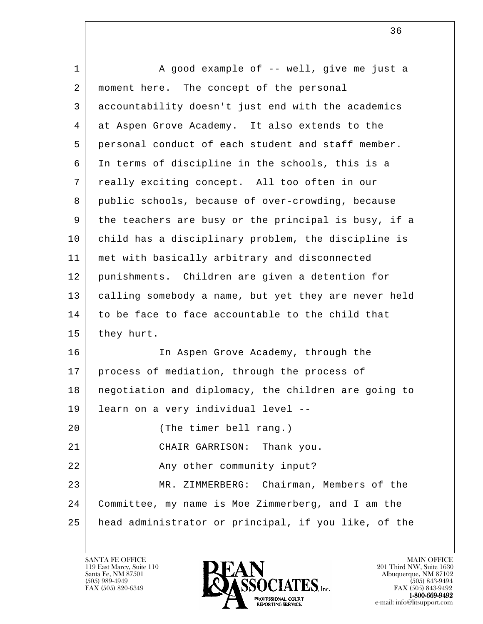l 1 | A good example of -- well, give me just a 2 | moment here. The concept of the personal 3 accountability doesn't just end with the academics 4 at Aspen Grove Academy. It also extends to the 5 personal conduct of each student and staff member. 6 In terms of discipline in the schools, this is a 7 really exciting concept. All too often in our 8 public schools, because of over-crowding, because 9 the teachers are busy or the principal is busy, if a 10 child has a disciplinary problem, the discipline is 11 met with basically arbitrary and disconnected 12 punishments. Children are given a detention for 13 calling somebody a name, but yet they are never held 14 to be face to face accountable to the child that 15 they hurt. 16 In Aspen Grove Academy, through the 17 | process of mediation, through the process of 18 | negotiation and diplomacy, the children are going to 19 learn on a very individual level -- 20 (The timer bell rang.) 21 CHAIR GARRISON: Thank you. 22 | Ray other community input? 23 MR. ZIMMERBERG: Chairman, Members of the 24 Committee, my name is Moe Zimmerberg, and I am the 25 head administrator or principal, if you like, of the

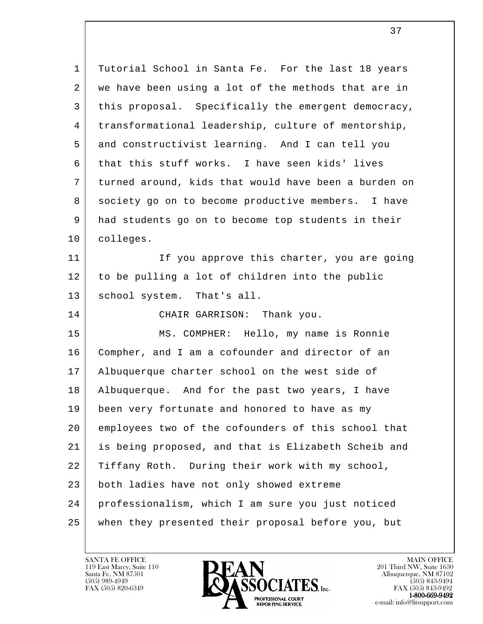l 1 | Tutorial School in Santa Fe. For the last 18 years 2 we have been using a lot of the methods that are in 3 this proposal. Specifically the emergent democracy, 4 transformational leadership, culture of mentorship, 5 and constructivist learning. And I can tell you 6 that this stuff works. I have seen kids' lives 7 turned around, kids that would have been a burden on 8 society go on to become productive members. I have 9 had students go on to become top students in their 10 colleges. 11 | The India vou approve this charter, you are going 12 to be pulling a lot of children into the public 13 | school system. That's all. 14 CHAIR GARRISON: Thank you. 15 MS. COMPHER: Hello, my name is Ronnie 16 Compher, and I am a cofounder and director of an 17 Albuquerque charter school on the west side of 18 Albuquerque. And for the past two years, I have 19 | been very fortunate and honored to have as my 20 employees two of the cofounders of this school that 21 is being proposed, and that is Elizabeth Scheib and 22 Tiffany Roth. During their work with my school, 23 both ladies have not only showed extreme 24 professionalism, which I am sure you just noticed 25 when they presented their proposal before you, but

119 East Marcy, Suite 110<br>Santa Fe, NM 87501

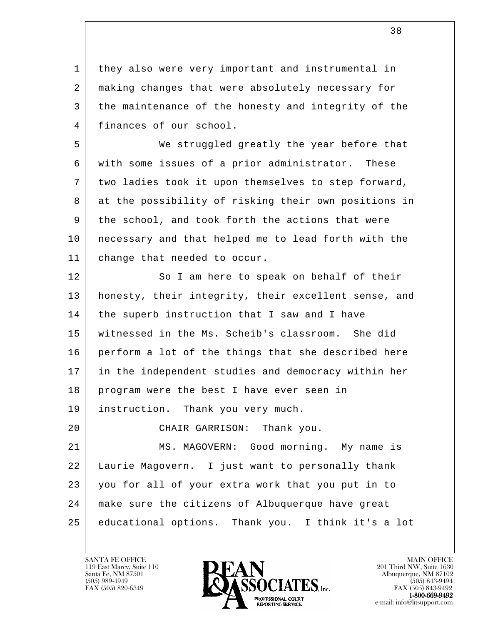1 | they also were very important and instrumental in 2 making changes that were absolutely necessary for 3 the maintenance of the honesty and integrity of the 4 finances of our school.

 5 We struggled greatly the year before that 6 with some issues of a prior administrator. These 7 two ladies took it upon themselves to step forward, 8 at the possibility of risking their own positions in 9 the school, and took forth the actions that were 10 necessary and that helped me to lead forth with the 11 change that needed to occur.

l 12 So I am here to speak on behalf of their 13 honesty, their integrity, their excellent sense, and 14 | the superb instruction that I saw and I have 15 witnessed in the Ms. Scheib's classroom. She did 16 perform a lot of the things that she described here 17 in the independent studies and democracy within her 18 program were the best I have ever seen in 19 instruction. Thank you very much. 20 CHAIR GARRISON: Thank you. 21 MS. MAGOVERN: Good morning. My name is 22 Laurie Magovern. I just want to personally thank 23 you for all of your extra work that you put in to 24 make sure the citizens of Albuquerque have great

 25 educational options. Thank you. I think it's a lot

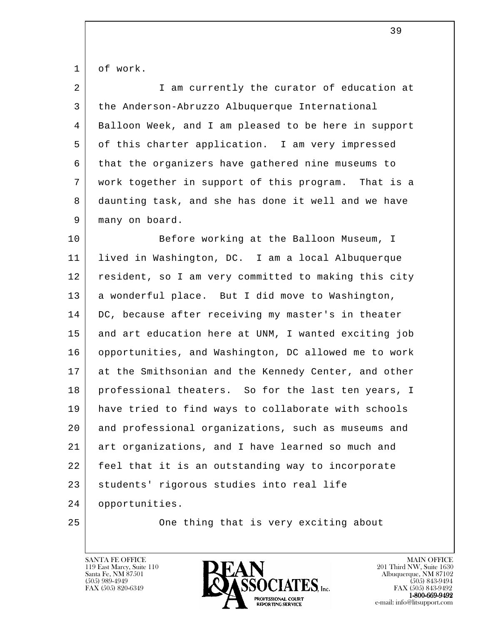1 of work.

| 2 | I am currently the curator of education at           |
|---|------------------------------------------------------|
| 3 | the Anderson-Abruzzo Albuquerque International       |
| 4 | Balloon Week, and I am pleased to be here in support |
| 5 | of this charter application. I am very impressed     |
| 6 | that the organizers have gathered nine museums to    |
| 7 | work together in support of this program. That is a  |
| 8 | daunting task, and she has done it well and we have  |
| 9 | many on board.                                       |

l 10 | Refore working at the Balloon Museum, I 11 lived in Washington, DC. I am a local Albuquerque 12 | resident, so I am very committed to making this city 13 a wonderful place. But I did move to Washington, 14 DC, because after receiving my master's in theater 15 and art education here at UNM, I wanted exciting job 16 opportunities, and Washington, DC allowed me to work 17 at the Smithsonian and the Kennedy Center, and other 18 | professional theaters. So for the last ten years, I 19 have tried to find ways to collaborate with schools 20 and professional organizations, such as museums and 21 art organizations, and I have learned so much and 22 feel that it is an outstanding way to incorporate 23 | students' rigorous studies into real life 24 opportunities.

25 One thing that is very exciting about

119 East Marcy, Suite 110<br>Santa Fe, NM 87501



 $FAX (505) 843-9492$ <br>1-800-669-9492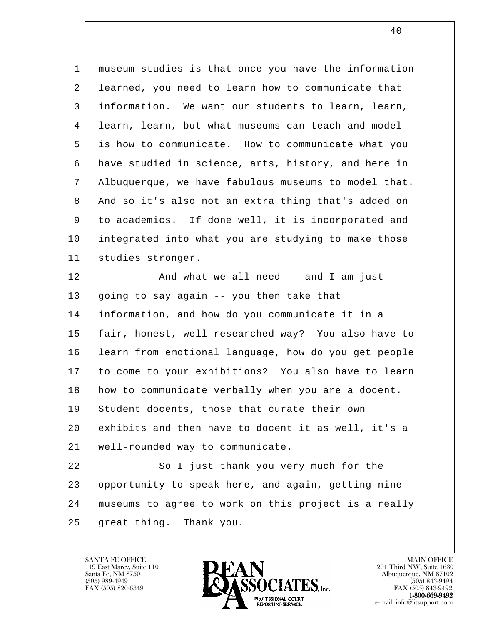1 museum studies is that once you have the information 2 learned, you need to learn how to communicate that 3 information. We want our students to learn, learn, 4 learn, learn, but what museums can teach and model 5 is how to communicate. How to communicate what you 6 have studied in science, arts, history, and here in 7 Albuquerque, we have fabulous museums to model that. 8 And so it's also not an extra thing that's added on 9 to academics. If done well, it is incorporated and 10 integrated into what you are studying to make those 11 studies stronger. 12 | And what we all need -- and I am just 13 going to say again -- you then take that 14 information, and how do you communicate it in a 15 fair, honest, well-researched way? You also have to 16 learn from emotional language, how do you get people 17 to come to your exhibitions? You also have to learn 18 how to communicate verbally when you are a docent. 19 Student docents, those that curate their own 20 exhibits and then have to docent it as well, it's a 21 well-rounded way to communicate. 22 So I just thank you very much for the

l 23 opportunity to speak here, and again, getting nine 24 museums to agree to work on this project is a really 25 great thing. Thank you.

119 East Marcy, Suite 110<br>Santa Fe, NM 87501

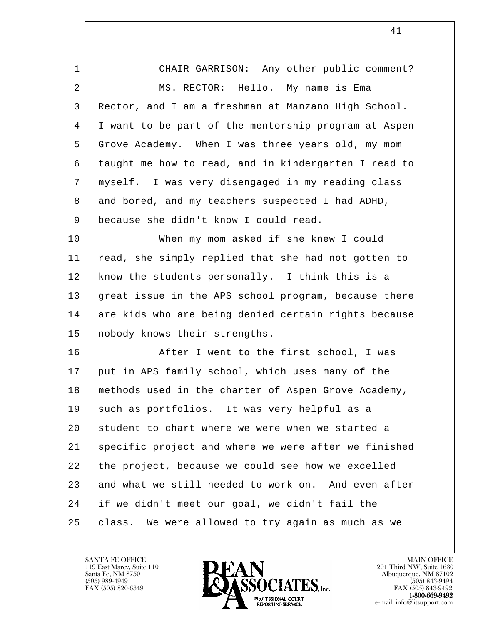| 1  | CHAIR GARRISON: Any other public comment?            |
|----|------------------------------------------------------|
| 2  | MS. RECTOR: Hello. My name is Ema                    |
| 3  | Rector, and I am a freshman at Manzano High School.  |
| 4  | I want to be part of the mentorship program at Aspen |
| 5  | Grove Academy. When I was three years old, my mom    |
| 6  | taught me how to read, and in kindergarten I read to |
| 7  | myself. I was very disengaged in my reading class    |
| 8  | and bored, and my teachers suspected I had ADHD,     |
| 9  | because she didn't know I could read.                |
| 10 | When my mom asked if she knew I could                |
| 11 | read, she simply replied that she had not gotten to  |
| 12 | know the students personally. I think this is a      |
| 13 | great issue in the APS school program, because there |
| 14 | are kids who are being denied certain rights because |
| 15 | nobody knows their strengths.                        |
| 16 | After I went to the first school, I was              |
| 17 | put in APS family school, which uses many of the     |
| 18 | methods used in the charter of Aspen Grove Academy,  |
| 19 | such as portfolios. It was very helpful as a         |
| 20 | student to chart where we were when we started a     |
| 21 | specific project and where we were after we finished |
| 22 | the project, because we could see how we excelled    |
| 23 | and what we still needed to work on. And even after  |
| 24 | if we didn't meet our goal, we didn't fail the       |
| 25 | We were allowed to try again as much as we<br>class. |
|    |                                                      |

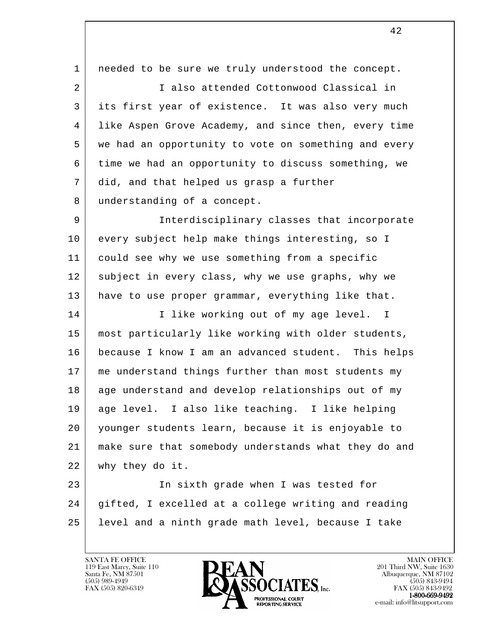l 1 | needed to be sure we truly understood the concept. 2 I also attended Cottonwood Classical in 3 its first year of existence. It was also very much 4 like Aspen Grove Academy, and since then, every time 5 we had an opportunity to vote on something and every 6 time we had an opportunity to discuss something, we 7 did, and that helped us grasp a further 8 understanding of a concept. 9 Interdisciplinary classes that incorporate 10 every subject help make things interesting, so I 11 could see why we use something from a specific 12 subject in every class, why we use graphs, why we 13 have to use proper grammar, everything like that. 14 | I like working out of my age level. I 15 most particularly like working with older students, 16 because I know I am an advanced student. This helps 17 me understand things further than most students my 18 age understand and develop relationships out of my 19 age level. I also like teaching. I like helping 20 younger students learn, because it is enjoyable to 21 make sure that somebody understands what they do and 22 why they do it. 23 | The sixth grade when I was tested for 24 gifted, I excelled at a college writing and reading 25 level and a ninth grade math level, because I take

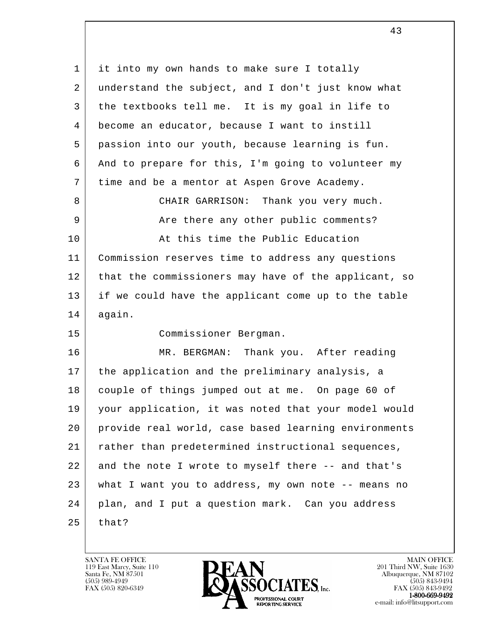l 1 it into my own hands to make sure I totally 2 understand the subject, and I don't just know what 3 the textbooks tell me. It is my goal in life to 4 become an educator, because I want to instill 5 passion into our youth, because learning is fun. 6 And to prepare for this, I'm going to volunteer my 7 time and be a mentor at Aspen Grove Academy. 8 CHAIR GARRISON: Thank you very much. 9 Are there any other public comments? 10 At this time the Public Education 11 Commission reserves time to address any questions 12 that the commissioners may have of the applicant, so 13 if we could have the applicant come up to the table 14 again. 15 Commissioner Bergman. 16 MR. BERGMAN: Thank you. After reading 17 the application and the preliminary analysis, a 18 couple of things jumped out at me. On page 60 of 19 your application, it was noted that your model would 20 provide real world, case based learning environments 21 rather than predetermined instructional sequences, 22 and the note I wrote to myself there -- and that's 23 what I want you to address, my own note -- means no 24 plan, and I put a question mark. Can you address  $25$  that?

119 East Marcy, Suite 110<br>Santa Fe, NM 87501



FAX (505) 843-9492 e-mail: info@litsupport.com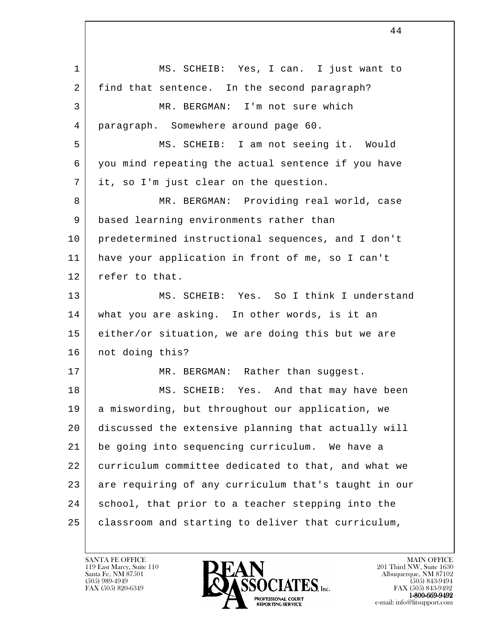l 1 MS. SCHEIB: Yes, I can. I just want to 2 find that sentence. In the second paragraph? 3 MR. BERGMAN: I'm not sure which 4 paragraph. Somewhere around page 60. 5 MS. SCHEIB: I am not seeing it. Would 6 you mind repeating the actual sentence if you have 7 it, so I'm just clear on the question. 8 MR. BERGMAN: Providing real world, case 9 based learning environments rather than 10 predetermined instructional sequences, and I don't 11 have your application in front of me, so I can't 12 refer to that. 13 MS. SCHEIB: Yes. So I think I understand 14 what you are asking. In other words, is it an 15 either/or situation, we are doing this but we are 16 | not doing this? 17 | MR. BERGMAN: Rather than suggest. 18 MS. SCHEIB: Yes. And that may have been 19 a miswording, but throughout our application, we 20 discussed the extensive planning that actually will 21 be going into sequencing curriculum. We have a 22 curriculum committee dedicated to that, and what we 23 are requiring of any curriculum that's taught in our 24 school, that prior to a teacher stepping into the 25 | classroom and starting to deliver that curriculum,

44

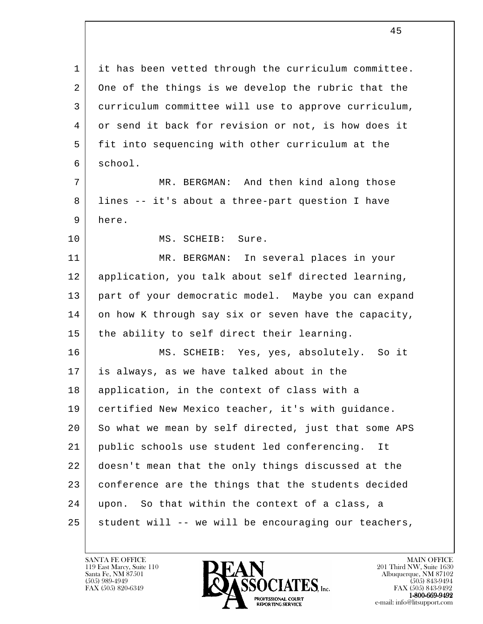l 1 | it has been vetted through the curriculum committee. 2 One of the things is we develop the rubric that the 3 curriculum committee will use to approve curriculum, 4 or send it back for revision or not, is how does it 5 fit into sequencing with other curriculum at the 6 school. 7 MR. BERGMAN: And then kind along those 8 lines -- it's about a three-part question I have 9 here. 10 MS. SCHEIB: Sure. 11 MR. BERGMAN: In several places in your 12 application, you talk about self directed learning, 13 part of your democratic model. Maybe you can expand 14 on how K through say six or seven have the capacity, 15 the ability to self direct their learning. 16 MS. SCHEIB: Yes, yes, absolutely. So it 17 is always, as we have talked about in the 18 | application, in the context of class with a 19 certified New Mexico teacher, it's with guidance. 20 So what we mean by self directed, just that some APS 21 public schools use student led conferencing. It 22 doesn't mean that the only things discussed at the 23 conference are the things that the students decided 24 upon. So that within the context of a class, a 25 student will -- we will be encouraging our teachers,

119 East Marcy, Suite 110<br>Santa Fe, NM 87501



 $FAX (505) 843-9492$ <br>1-800-669-9492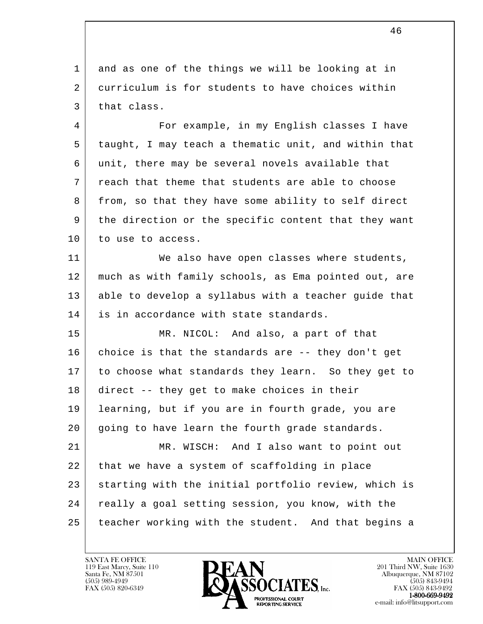1 and as one of the things we will be looking at in 2 curriculum is for students to have choices within 3 | that class.

 4 For example, in my English classes I have 5 taught, I may teach a thematic unit, and within that 6 unit, there may be several novels available that 7 reach that theme that students are able to choose 8 | from, so that they have some ability to self direct 9 the direction or the specific content that they want 10 to use to access.

11 We also have open classes where students, 12 much as with family schools, as Ema pointed out, are 13 able to develop a syllabus with a teacher guide that 14 is in accordance with state standards.

 15 MR. NICOL: And also, a part of that 16 choice is that the standards are -- they don't get 17 to choose what standards they learn. So they get to 18 direct -- they get to make choices in their 19 learning, but if you are in fourth grade, you are 20 | going to have learn the fourth grade standards. 21 MR. WISCH: And I also want to point out 22 that we have a system of scaffolding in place

l 23 | starting with the initial portfolio review, which is 24 really a goal setting session, you know, with the 25 teacher working with the student. And that begins a

119 East Marcy, Suite 110<br>Santa Fe, NM 87501

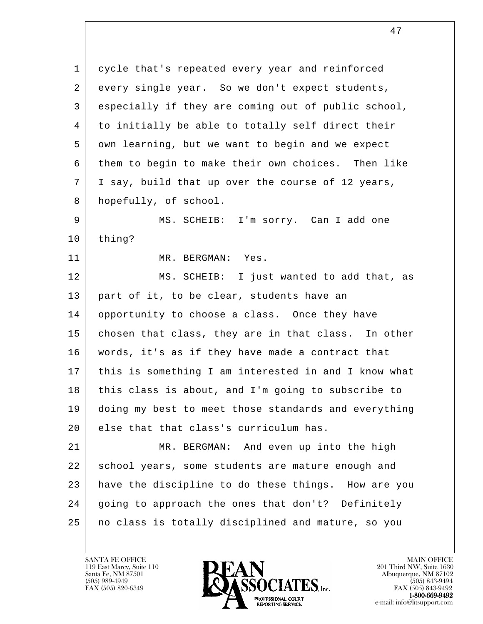1 cycle that's repeated every year and reinforced 2 every single year. So we don't expect students, 3 especially if they are coming out of public school, 4 to initially be able to totally self direct their 5 own learning, but we want to begin and we expect 6 them to begin to make their own choices. Then like 7 I say, build that up over the course of 12 years, 8 hopefully, of school.

9 MS. SCHEIB: I'm sorry. Can I add one 10 thing?

11 MR. BERGMAN: Yes.

 12 MS. SCHEIB: I just wanted to add that, as 13 part of it, to be clear, students have an 14 opportunity to choose a class. Once they have 15 chosen that class, they are in that class. In other 16 words, it's as if they have made a contract that 17 this is something I am interested in and I know what 18 this class is about, and I'm going to subscribe to 19 doing my best to meet those standards and everything 20 else that that class's curriculum has.

l 21 MR. BERGMAN: And even up into the high 22 school years, some students are mature enough and 23 have the discipline to do these things. How are you 24 | going to approach the ones that don't? Definitely 25 no class is totally disciplined and mature, so you

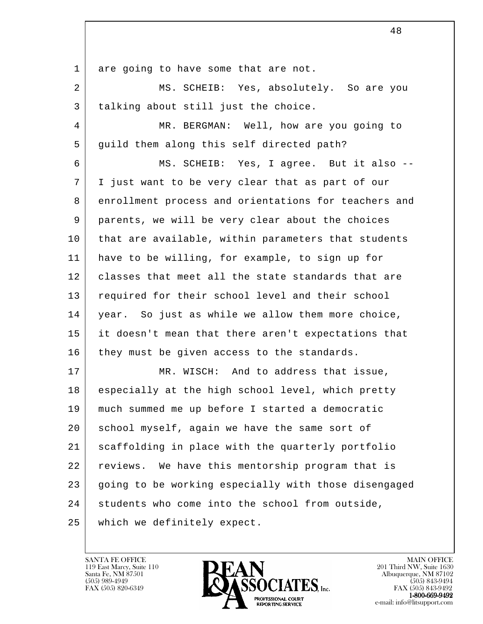1 are going to have some that are not.

 2 MS. SCHEIB: Yes, absolutely. So are you 3 talking about still just the choice.

 4 MR. BERGMAN: Well, how are you going to 5 guild them along this self directed path?

 6 MS. SCHEIB: Yes, I agree. But it also -- 7 | I just want to be very clear that as part of our 8 enrollment process and orientations for teachers and 9 parents, we will be very clear about the choices 10 | that are available, within parameters that students 11 have to be willing, for example, to sign up for 12 | classes that meet all the state standards that are 13 required for their school level and their school 14 | year. So just as while we allow them more choice, 15 it doesn't mean that there aren't expectations that 16 they must be given access to the standards.

l 17 MR. WISCH: And to address that issue, 18 especially at the high school level, which pretty 19 much summed me up before I started a democratic 20 school myself, again we have the same sort of 21 scaffolding in place with the quarterly portfolio 22 | reviews. We have this mentorship program that is 23 going to be working especially with those disengaged 24 students who come into the school from outside, 25 which we definitely expect.

119 East Marcy, Suite 110<br>Santa Fe, NM 87501



FAX (505) 843-9492 e-mail: info@litsupport.com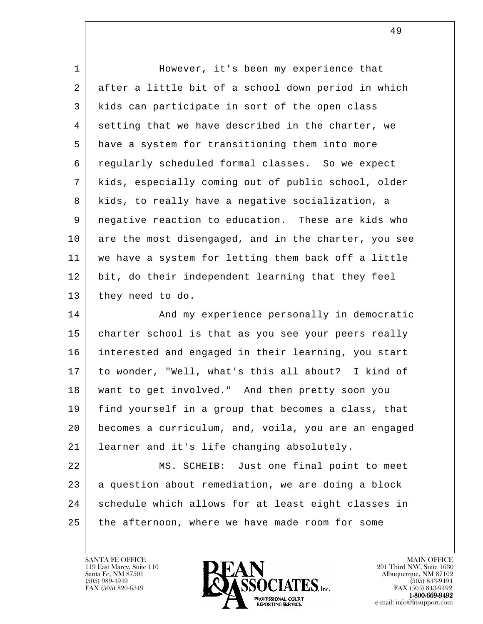| $\mathbf 1$ | However, it's been my experience that                |
|-------------|------------------------------------------------------|
| 2           | after a little bit of a school down period in which  |
| 3           | kids can participate in sort of the open class       |
| 4           | setting that we have described in the charter, we    |
| 5           | have a system for transitioning them into more       |
| 6           | regularly scheduled formal classes. So we expect     |
| 7           | kids, especially coming out of public school, older  |
| 8           | kids, to really have a negative socialization, a     |
| 9           | negative reaction to education. These are kids who   |
| 10          | are the most disengaged, and in the charter, you see |
| 11          | we have a system for letting them back off a little  |
| 12          | bit, do their independent learning that they feel    |
| 13          | they need to do.                                     |
| 14          | And my experience personally in democratic           |
| 15          | charter school is that as you see your peers really  |
| 16          | interested and engaged in their learning, you start  |
| 17          | to wonder, "Well, what's this all about? I kind of   |
| 18          | want to get involved." And then pretty soon you      |
| 19          | find yourself in a group that becomes a class, that  |
| 20          | becomes a curriculum, and, voila, you are an engaged |
| 21          | learner and it's life changing absolutely.           |
| 22          | MS. SCHEIB: Just one final point to meet             |
| 23          | a question about remediation, we are doing a block   |
| 24          | schedule which allows for at least eight classes in  |
| 25          | the afternoon, where we have made room for some      |

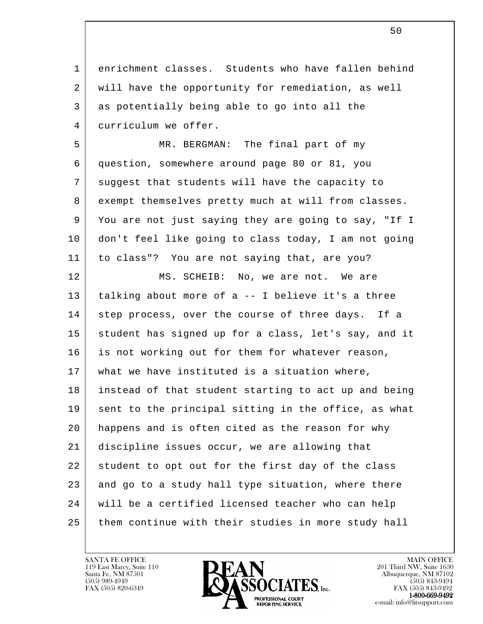1 enrichment classes. Students who have fallen behind 2 will have the opportunity for remediation, as well 3 as potentially being able to go into all the 4 curriculum we offer.

 5 MR. BERGMAN: The final part of my 6 question, somewhere around page 80 or 81, you 7 suggest that students will have the capacity to 8 exempt themselves pretty much at will from classes. 9 You are not just saying they are going to say, "If I 10 don't feel like going to class today, I am not going 11 to class"? You are not saying that, are you?

l 12 MS. SCHEIB: No, we are not. We are 13 talking about more of a -- I believe it's a three 14 | step process, over the course of three days. If a 15 student has signed up for a class, let's say, and it 16 is not working out for them for whatever reason, 17 what we have instituted is a situation where, 18 instead of that student starting to act up and being 19 sent to the principal sitting in the office, as what 20 happens and is often cited as the reason for why 21 discipline issues occur, we are allowing that 22 student to opt out for the first day of the class 23 and go to a study hall type situation, where there 24 will be a certified licensed teacher who can help 25 them continue with their studies in more study hall

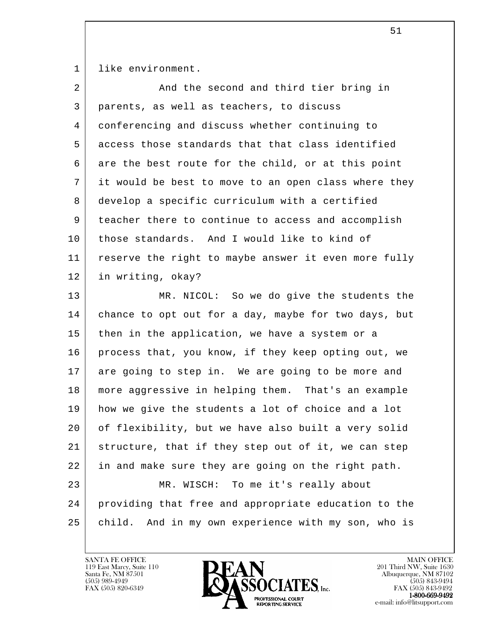1 like environment.

| 2  | And the second and third tier bring in                 |
|----|--------------------------------------------------------|
| 3  | parents, as well as teachers, to discuss               |
| 4  | conferencing and discuss whether continuing to         |
| 5  | access those standards that that class identified      |
| 6  | are the best route for the child, or at this point     |
| 7  | it would be best to move to an open class where they   |
| 8  | develop a specific curriculum with a certified         |
| 9  | teacher there to continue to access and accomplish     |
| 10 | those standards. And I would like to kind of           |
| 11 | reserve the right to maybe answer it even more fully   |
| 12 | in writing, okay?                                      |
| 13 | MR. NICOL: So we do give the students the              |
| 14 | chance to opt out for a day, maybe for two days, but   |
| 15 | then in the application, we have a system or a         |
| 16 | process that, you know, if they keep opting out, we    |
| 17 | are going to step in. We are going to be more and      |
| 18 | more aggressive in helping them. That's an example     |
| 19 | how we give the students a lot of choice and a lot     |
| 20 | of flexibility, but we have also built a very solid    |
| 21 | structure, that if they step out of it, we can step    |
| 22 | in and make sure they are going on the right path.     |
| 23 | To me it's really about<br>MR. WISCH:                  |
| 24 | providing that free and appropriate education to the   |
| 25 | And in my own experience with my son, who is<br>child. |
|    |                                                        |

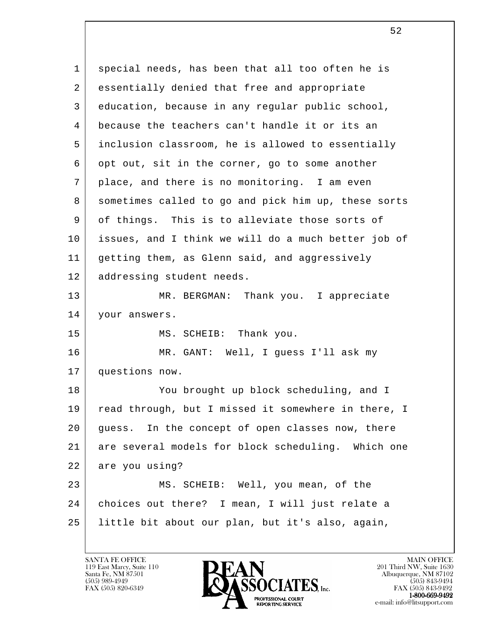l 1 special needs, has been that all too often he is 2 essentially denied that free and appropriate 3 education, because in any regular public school, 4 because the teachers can't handle it or its an 5 inclusion classroom, he is allowed to essentially 6 opt out, sit in the corner, go to some another 7 place, and there is no monitoring. I am even 8 sometimes called to go and pick him up, these sorts 9 of things. This is to alleviate those sorts of 10 issues, and I think we will do a much better job of 11 getting them, as Glenn said, and aggressively 12 addressing student needs. 13 | MR. BERGMAN: Thank you. I appreciate 14 | your answers. 15 MS. SCHEIB: Thank you. 16 MR. GANT: Well, I guess I'll ask my 17 questions now. 18 You brought up block scheduling, and I 19 | read through, but I missed it somewhere in there, I 20 guess. In the concept of open classes now, there 21 are several models for block scheduling. Which one 22 are you using? 23 MS. SCHEIB: Well, you mean, of the 24 choices out there? I mean, I will just relate a 25 little bit about our plan, but it's also, again,

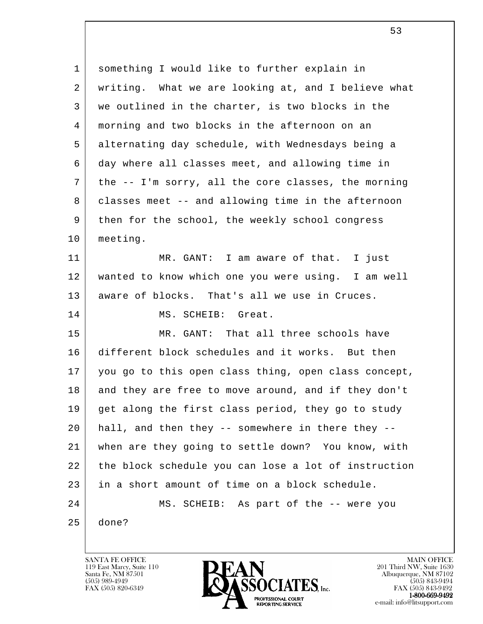| $\mathbf 1$ | something I would like to further explain in         |
|-------------|------------------------------------------------------|
| 2           | writing. What we are looking at, and I believe what  |
| 3           | we outlined in the charter, is two blocks in the     |
| 4           | morning and two blocks in the afternoon on an        |
| 5           | alternating day schedule, with Wednesdays being a    |
| 6           | day where all classes meet, and allowing time in     |
| 7           | the -- I'm sorry, all the core classes, the morning  |
| 8           | classes meet -- and allowing time in the afternoon   |
| 9           | then for the school, the weekly school congress      |
| 10          | meeting.                                             |
| 11          | MR. GANT: I am aware of that. I just                 |
| 12          | wanted to know which one you were using. I am well   |
| 13          | aware of blocks. That's all we use in Cruces.        |
| 14          | MS. SCHEIB: Great.                                   |
| 15          | MR. GANT: That all three schools have                |
| 16          | different block schedules and it works. But then     |
| 17          | you go to this open class thing, open class concept, |
| 18          | and they are free to move around, and if they don't  |
| 19          | get along the first class period, they go to study   |
| 20          | hall, and then they -- somewhere in there they --    |
| 21          | when are they going to settle down? You know, with   |
| 22          | the block schedule you can lose a lot of instruction |
| 23          | in a short amount of time on a block schedule.       |
| 24          | MS. SCHEIB: As part of the -- were you               |
| 25          | done?                                                |
|             |                                                      |

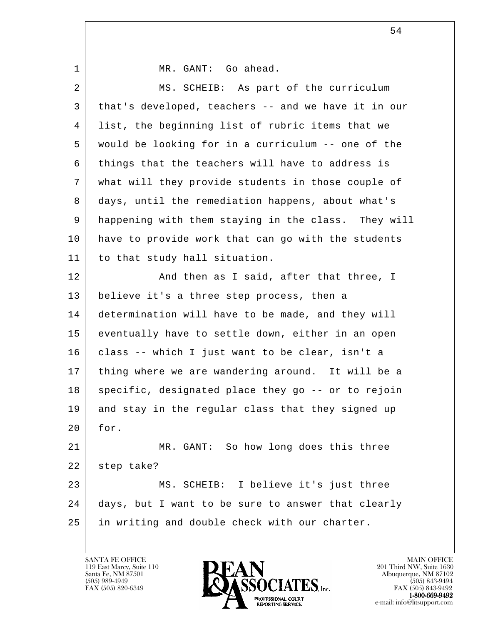| $\mathbf 1$ | MR. GANT: Go ahead.                                 |
|-------------|-----------------------------------------------------|
| 2           | MS. SCHEIB: As part of the curriculum               |
| 3           | that's developed, teachers -- and we have it in our |
| 4           | list, the beginning list of rubric items that we    |
| 5           | would be looking for in a curriculum -- one of the  |
| 6           | things that the teachers will have to address is    |
| 7           | what will they provide students in those couple of  |
| 8           | days, until the remediation happens, about what's   |
| 9           | happening with them staying in the class. They will |
| 10          | have to provide work that can go with the students  |
| 11          | to that study hall situation.                       |
| 12          | And then as I said, after that three, I             |
| 13          | believe it's a three step process, then a           |
| 14          | determination will have to be made, and they will   |
| 15          | eventually have to settle down, either in an open   |
| 16          | class -- which I just want to be clear, isn't a     |
| 17          | thing where we are wandering around. It will be a   |
| 18          | specific, designated place they go -- or to rejoin  |
| 19          | and stay in the regular class that they signed up   |
| 20          | for.                                                |
| 21          | MR. GANT: So how long does this three               |
| 22          | step take?                                          |
| 23          | MS. SCHEIB: I believe it's just three               |
| 24          | days, but I want to be sure to answer that clearly  |
| 25          | in writing and double check with our charter.       |
|             |                                                     |

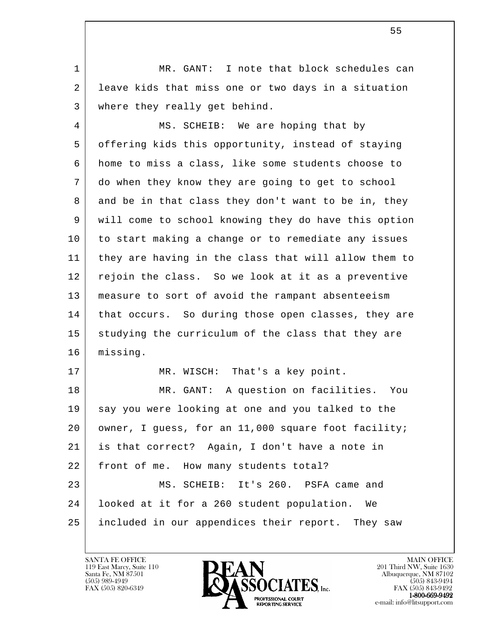1 | MR. GANT: I note that block schedules can 2 leave kids that miss one or two days in a situation 3 where they really get behind.

4 | MS. SCHEIB: We are hoping that by 5 offering kids this opportunity, instead of staying 6 home to miss a class, like some students choose to 7 do when they know they are going to get to school 8 and be in that class they don't want to be in, they 9 will come to school knowing they do have this option 10 to start making a change or to remediate any issues 11 they are having in the class that will allow them to 12 rejoin the class. So we look at it as a preventive 13 measure to sort of avoid the rampant absenteeism 14 | that occurs. So during those open classes, they are 15 studying the curriculum of the class that they are 16 missing.

17 | MR. WISCH: That's a key point.

l 18 MR. GANT: A question on facilities. You 19 say you were looking at one and you talked to the 20 | owner, I guess, for an 11,000 square foot facility; 21 is that correct? Again, I don't have a note in 22 | front of me. How many students total? 23 MS. SCHEIB: It's 260. PSFA came and 24 looked at it for a 260 student population. We 25 included in our appendices their report. They saw

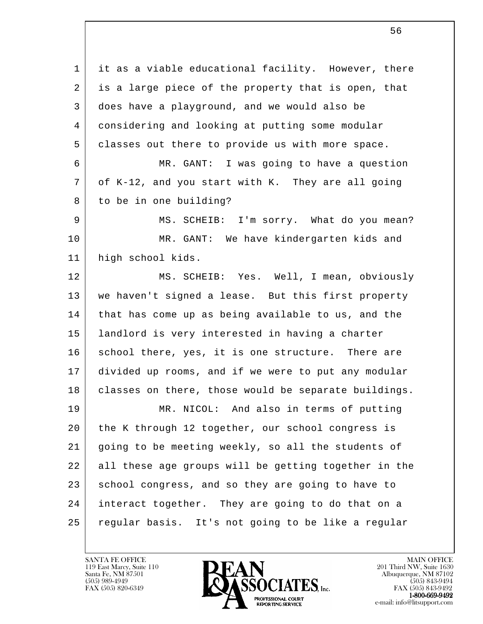l 1 | it as a viable educational facility. However, there 2 is a large piece of the property that is open, that 3 does have a playground, and we would also be 4 considering and looking at putting some modular 5 classes out there to provide us with more space. 6 MR. GANT: I was going to have a question 7 of K-12, and you start with K. They are all going 8 to be in one building? 9 MS. SCHEIB: I'm sorry. What do you mean? 10 MR. GANT: We have kindergarten kids and 11 high school kids. 12 MS. SCHEIB: Yes. Well, I mean, obviously 13 we haven't signed a lease. But this first property 14 | that has come up as being available to us, and the 15 landlord is very interested in having a charter 16 | school there, yes, it is one structure. There are 17 divided up rooms, and if we were to put any modular 18 | classes on there, those would be separate buildings. 19 MR. NICOL: And also in terms of putting 20 the K through 12 together, our school congress is 21 going to be meeting weekly, so all the students of 22 all these age groups will be getting together in the 23 school congress, and so they are going to have to 24 interact together. They are going to do that on a 25 regular basis. It's not going to be like a regular

119 East Marcy, Suite 110<br>Santa Fe, NM 87501



FAX (505) 843-9492 e-mail: info@litsupport.com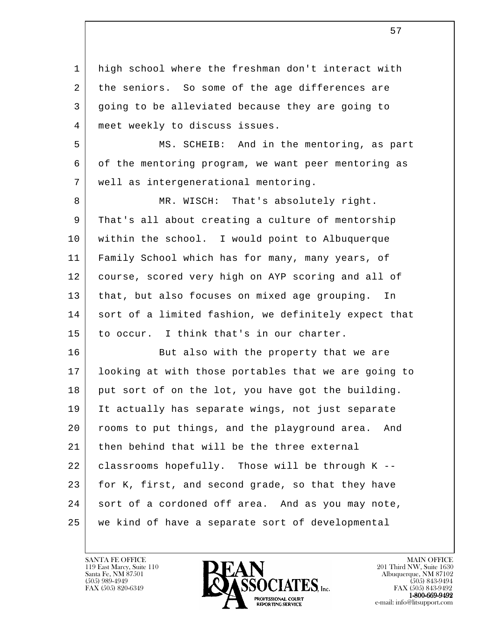1 | high school where the freshman don't interact with 2 the seniors. So some of the age differences are 3 going to be alleviated because they are going to 4 | meet weekly to discuss issues.

 5 MS. SCHEIB: And in the mentoring, as part 6 of the mentoring program, we want peer mentoring as 7 well as intergenerational mentoring.

8 MR. WISCH: That's absolutely right. 9 That's all about creating a culture of mentorship 10 within the school. I would point to Albuquerque 11 Family School which has for many, many years, of 12 course, scored very high on AYP scoring and all of 13 that, but also focuses on mixed age grouping. In 14 sort of a limited fashion, we definitely expect that 15 to occur. I think that's in our charter.

l 16 But also with the property that we are 17 looking at with those portables that we are going to 18 put sort of on the lot, you have got the building. 19 It actually has separate wings, not just separate 20 rooms to put things, and the playground area. And 21 then behind that will be the three external  $22$  classrooms hopefully. Those will be through K --23 for K, first, and second grade, so that they have 24 sort of a cordoned off area. And as you may note, 25 we kind of have a separate sort of developmental

119 East Marcy, Suite 110<br>Santa Fe, NM 87501



FAX (505) 843-9492 e-mail: info@litsupport.com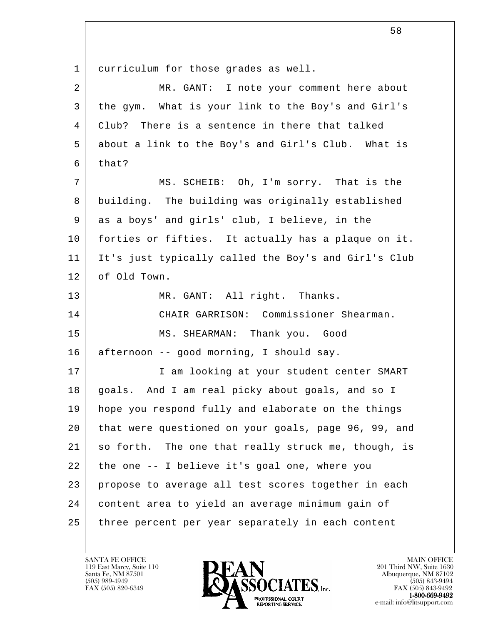l 1 curriculum for those grades as well. 2 MR. GANT: I note your comment here about 3 the gym. What is your link to the Boy's and Girl's 4 Club? There is a sentence in there that talked 5 about a link to the Boy's and Girl's Club. What is  $6$  that? 7 | MS. SCHEIB: Oh, I'm sorry. That is the 8 building. The building was originally established 9 as a boys' and girls' club, I believe, in the 10 forties or fifties. It actually has a plaque on it. 11 It's just typically called the Boy's and Girl's Club 12 of Old Town. 13 MR. GANT: All right. Thanks. 14 CHAIR GARRISON: Commissioner Shearman. 15 MS. SHEARMAN: Thank you. Good 16 afternoon -- good morning, I should say. 17 | Tam looking at your student center SMART 18 goals. And I am real picky about goals, and so I 19 hope you respond fully and elaborate on the things 20 that were questioned on your goals, page 96, 99, and 21 so forth. The one that really struck me, though, is 22 the one -- I believe it's goal one, where you 23 propose to average all test scores together in each 24 content area to yield an average minimum gain of 25 three percent per year separately in each content

119 East Marcy, Suite 110<br>Santa Fe, NM 87501



FAX (505) 843-9492 e-mail: info@litsupport.com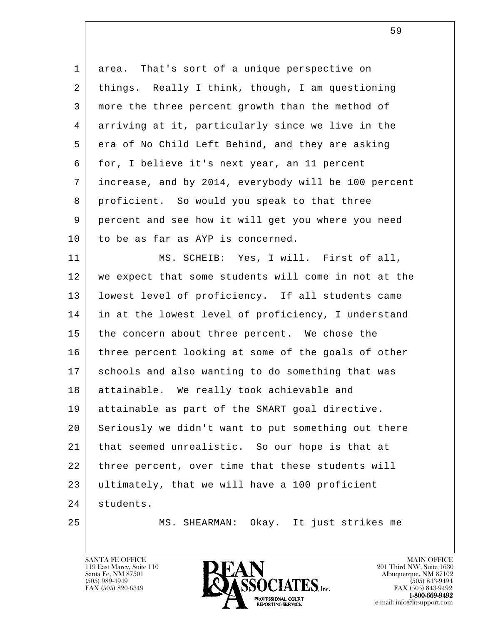l 1 area. That's sort of a unique perspective on 2 things. Really I think, though, I am questioning 3 more the three percent growth than the method of 4 arriving at it, particularly since we live in the 5 era of No Child Left Behind, and they are asking 6 | for, I believe it's next year, an 11 percent 7 increase, and by 2014, everybody will be 100 percent 8 proficient. So would you speak to that three 9 percent and see how it will get you where you need 10 to be as far as AYP is concerned. 11 | MS. SCHEIB: Yes, I will. First of all, 12 | we expect that some students will come in not at the 13 lowest level of proficiency. If all students came 14 in at the lowest level of proficiency, I understand 15 the concern about three percent. We chose the 16 three percent looking at some of the goals of other 17 schools and also wanting to do something that was 18 attainable. We really took achievable and 19 attainable as part of the SMART goal directive. 20 Seriously we didn't want to put something out there 21 that seemed unrealistic. So our hope is that at 22 | three percent, over time that these students will 23 ultimately, that we will have a 100 proficient 24 students. 25 MS. SHEARMAN: Okay. It just strikes me

119 East Marcy, Suite 110<br>Santa Fe, NM 87501



FAX (505) 843-9492 e-mail: info@litsupport.com

 $\sim$  59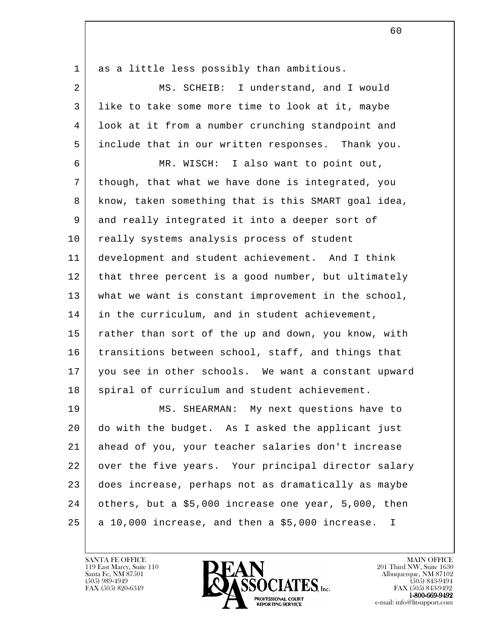| $\mathbf{1}$ | as a little less possibly than ambitious.                       |
|--------------|-----------------------------------------------------------------|
| 2            | MS. SCHEIB: I understand, and I would                           |
| 3            | like to take some more time to look at it, maybe                |
| 4            | look at it from a number crunching standpoint and               |
| 5            | include that in our written responses. Thank you.               |
| 6            | MR. WISCH: I also want to point out,                            |
| 7            | though, that what we have done is integrated, you               |
| 8            | know, taken something that is this SMART goal idea,             |
| 9            | and really integrated it into a deeper sort of                  |
| 10           | really systems analysis process of student                      |
| 11           | development and student achievement. And I think                |
| 12           | that three percent is a good number, but ultimately             |
| 13           | what we want is constant improvement in the school,             |
| 14           | in the curriculum, and in student achievement,                  |
| 15           | rather than sort of the up and down, you know, with             |
| 16           | transitions between school, staff, and things that              |
| 17           | you see in other schools. We want a constant upward             |
| 18           | spiral of curriculum and student achievement.                   |
| 19           | MS. SHEARMAN: My next questions have to                         |
| 20           | do with the budget. As I asked the applicant just               |
| 21           | ahead of you, your teacher salaries don't increase              |
| 22           | over the five years. Your principal director salary             |
| 23           | does increase, perhaps not as dramatically as maybe             |
| 24           | others, but a \$5,000 increase one year, 5,000, then            |
| 25           | a 10,000 increase, and then a \$5,000 increase.<br>$\mathbf{I}$ |

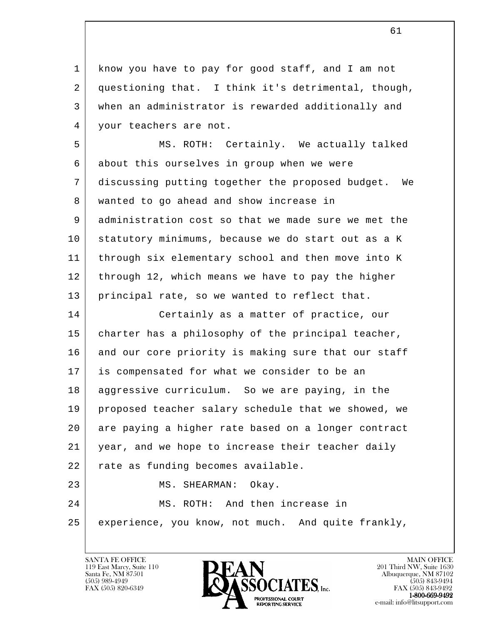1 know you have to pay for good staff, and I am not 2 questioning that. I think it's detrimental, though, 3 when an administrator is rewarded additionally and 4 | your teachers are not.

 5 MS. ROTH: Certainly. We actually talked 6 about this ourselves in group when we were 7 discussing putting together the proposed budget. We 8 wanted to go ahead and show increase in 9 administration cost so that we made sure we met the 10 statutory minimums, because we do start out as a K 11 through six elementary school and then move into K 12 through 12, which means we have to pay the higher 13 principal rate, so we wanted to reflect that. 14 Certainly as a matter of practice, our

l 15 | charter has a philosophy of the principal teacher, 16 and our core priority is making sure that our staff 17 is compensated for what we consider to be an 18 aggressive curriculum. So we are paying, in the 19 proposed teacher salary schedule that we showed, we 20 are paying a higher rate based on a longer contract 21 year, and we hope to increase their teacher daily 22 | rate as funding becomes available. 23 MS. SHEARMAN: Okay. 24 MS. ROTH: And then increase in 25 experience, you know, not much. And quite frankly,

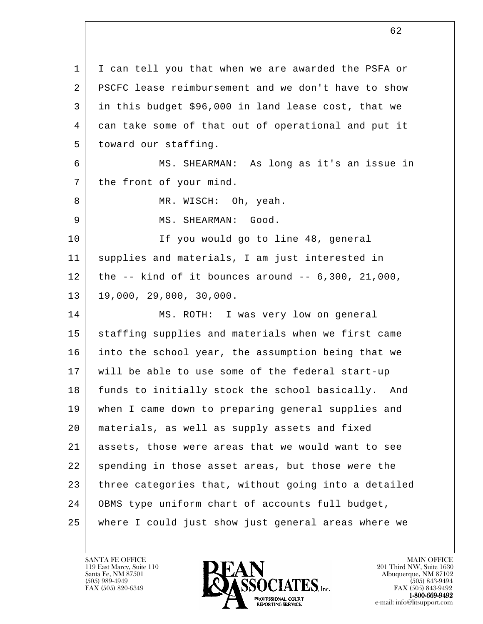l 1 | I can tell you that when we are awarded the PSFA or 2 PSCFC lease reimbursement and we don't have to show 3 in this budget \$96,000 in land lease cost, that we 4 can take some of that out of operational and put it 5 | toward our staffing. 6 MS. SHEARMAN: As long as it's an issue in 7 the front of your mind. 8 | MR. WISCH: Oh, yeah. 9 MS. SHEARMAN: Good. 10 If you would go to line 48, general 11 supplies and materials, I am just interested in 12 | the  $-$  kind of it bounces around  $-$  6,300, 21,000,  $13 \mid 19,000, 29,000, 30,000.$ 14 | MS. ROTH: I was very low on general 15 staffing supplies and materials when we first came 16 into the school year, the assumption being that we 17 will be able to use some of the federal start-up 18 funds to initially stock the school basically. And 19 when I came down to preparing general supplies and 20 materials, as well as supply assets and fixed 21 assets, those were areas that we would want to see 22 spending in those asset areas, but those were the 23 three categories that, without going into a detailed 24 OBMS type uniform chart of accounts full budget, 25 where I could just show just general areas where we

119 East Marcy, Suite 110<br>Santa Fe, NM 87501



 $FAX (505) 843-9492$ <br>1-800-669-9492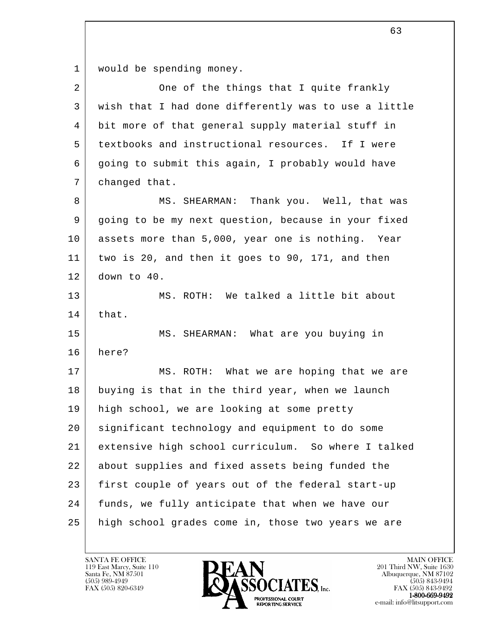1 | would be spending money.

| $\overline{a}$ | One of the things that I quite frankly               |
|----------------|------------------------------------------------------|
| 3              | wish that I had done differently was to use a little |
| 4              | bit more of that general supply material stuff in    |
| 5              | textbooks and instructional resources. If I were     |
| 6              | going to submit this again, I probably would have    |
| 7              | changed that.                                        |
| 8              | MS. SHEARMAN: Thank you. Well, that was              |
| 9              | going to be my next question, because in your fixed  |
| 10             | assets more than 5,000, year one is nothing. Year    |
| 11             | two is 20, and then it goes to 90, 171, and then     |
| 12             | down to 40.                                          |
| 13             | MS. ROTH: We talked a little bit about               |
| 14             | that.                                                |
| 15             | MS. SHEARMAN: What are you buying in                 |
| 16             | here?                                                |
| 17             | MS. ROTH: What we are hoping that we are             |
| 18             | buying is that in the third year, when we launch     |
| 19             | high school, we are looking at some pretty           |
| 20             | significant technology and equipment to do some      |
| 21             | extensive high school curriculum. So where I talked  |
| 22             | about supplies and fixed assets being funded the     |
| 23             | first couple of years out of the federal start-up    |
| 24             | funds, we fully anticipate that when we have our     |
| 25             | high school grades come in, those two years we are   |
|                |                                                      |

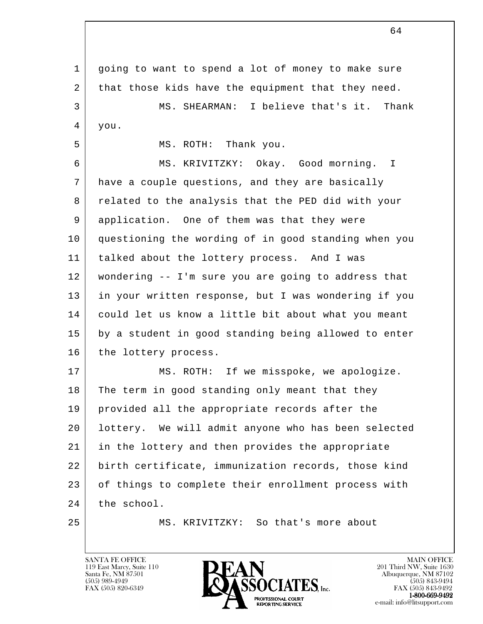l 1 going to want to spend a lot of money to make sure 2 that those kids have the equipment that they need. 3 MS. SHEARMAN: I believe that's it. Thank  $4 \mid$  you. 5 MS. ROTH: Thank you. 6 MS. KRIVITZKY: Okay. Good morning. I 7 have a couple questions, and they are basically 8 related to the analysis that the PED did with your 9 application. One of them was that they were 10 questioning the wording of in good standing when you 11 talked about the lottery process. And I was 12 wondering -- I'm sure you are going to address that 13 in your written response, but I was wondering if you 14 could let us know a little bit about what you meant 15 by a student in good standing being allowed to enter 16 the lottery process. 17 | MS. ROTH: If we misspoke, we apologize. 18 The term in good standing only meant that they 19 | provided all the appropriate records after the 20 lottery. We will admit anyone who has been selected 21 in the lottery and then provides the appropriate 22 birth certificate, immunization records, those kind 23 of things to complete their enrollment process with 24 the school. 25 MS. KRIVITZKY: So that's more about

119 East Marcy, Suite 110<br>Santa Fe, NM 87501

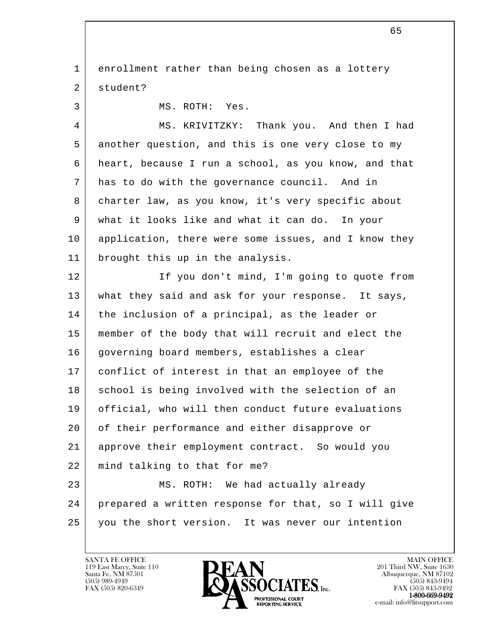l 1 enrollment rather than being chosen as a lottery 2 student? 3 MS. ROTH: Yes. 4 MS. KRIVITZKY: Thank you. And then I had 5 another question, and this is one very close to my 6 heart, because I run a school, as you know, and that 7 has to do with the governance council. And in 8 charter law, as you know, it's very specific about 9 what it looks like and what it can do. In your 10 application, there were some issues, and I know they 11 brought this up in the analysis. 12 | If you don't mind, I'm going to quote from 13 what they said and ask for your response. It says, 14 | the inclusion of a principal, as the leader or 15 member of the body that will recruit and elect the 16 governing board members, establishes a clear 17 conflict of interest in that an employee of the 18 school is being involved with the selection of an 19 official, who will then conduct future evaluations 20 of their performance and either disapprove or 21 approve their employment contract. So would you 22 mind talking to that for me? 23 MS. ROTH: We had actually already 24 prepared a written response for that, so I will give 25 you the short version. It was never our intention

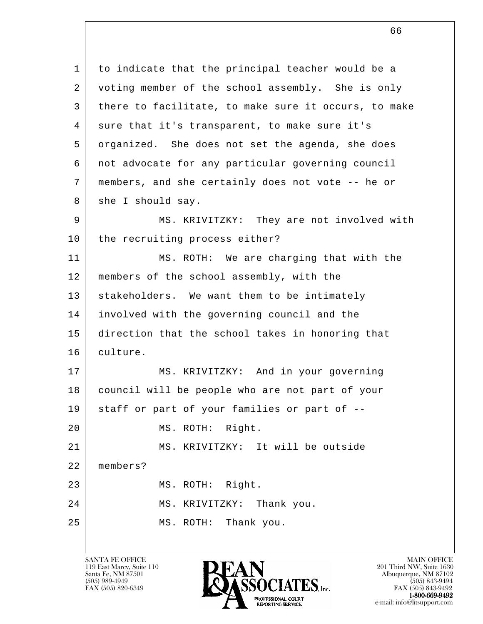l 1 to indicate that the principal teacher would be a 2 voting member of the school assembly. She is only 3 there to facilitate, to make sure it occurs, to make 4 sure that it's transparent, to make sure it's 5 organized. She does not set the agenda, she does 6 not advocate for any particular governing council 7 members, and she certainly does not vote -- he or 8 she I should say. 9 MS. KRIVITZKY: They are not involved with 10 | the recruiting process either? 11 MS. ROTH: We are charging that with the 12 | members of the school assembly, with the 13 stakeholders. We want them to be intimately 14 involved with the governing council and the 15 direction that the school takes in honoring that 16 culture. 17 MS. KRIVITZKY: And in your governing 18 council will be people who are not part of your 19 staff or part of your families or part of -- 20 MS. ROTH: Right. 21 MS. KRIVITZKY: It will be outside 22 members? 23 MS. ROTH: Right. 24 MS. KRIVITZKY: Thank you. 25 MS. ROTH: Thank you.

 $66$ 

119 East Marcy, Suite 110<br>Santa Fe, NM 87501



FAX (505) 843-9492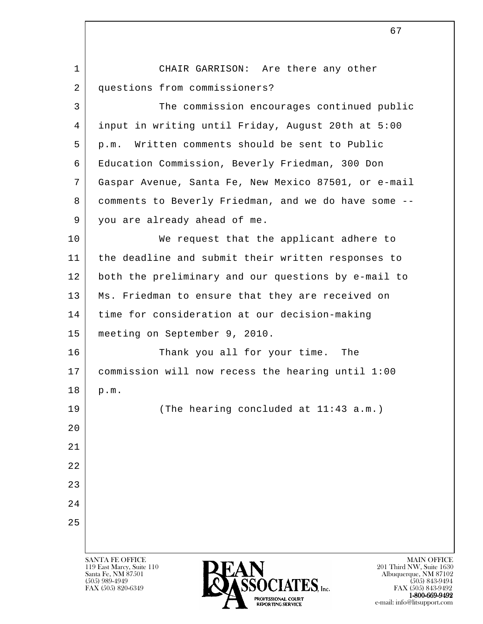l SANTA FE OFFICE MAIN OFFICE MAIN OFFICE MAIN OFFICE MAIN OFFICE 119 East Marcy, Suite 110<br>Santa Fe, NM 87501 Santa Fe, NM 87501 Albuquerque, NM 87102 1 CHAIR GARRISON: Are there any other 2 questions from commissioners? 3 The commission encourages continued public 4 input in writing until Friday, August 20th at 5:00 5 p.m. Written comments should be sent to Public 6 Education Commission, Beverly Friedman, 300 Don 7 Gaspar Avenue, Santa Fe, New Mexico 87501, or e-mail 8 comments to Beverly Friedman, and we do have some -- 9 you are already ahead of me. 10 We request that the applicant adhere to 11 the deadline and submit their written responses to 12 both the preliminary and our questions by e-mail to 13 | Ms. Friedman to ensure that they are received on 14 | time for consideration at our decision-making 15 meeting on September 9, 2010. 16 Thank you all for your time. The 17 commission will now recess the hearing until 1:00 18 p.m. 19 (The hearing concluded at 11:43 a.m.) 20 21 22 23 24 25

 $\sum_{\text{FAX (505) 820-6349}} \sum_{\text{FAX (505) 843-9492}} \sum_{\text{FAX (505) 843-9492}} \sum_{\text{FAX (505) 843-9492}}$ FAX (505) 843-9492 1-800-669-9492 e-mail: info@litsupport.com